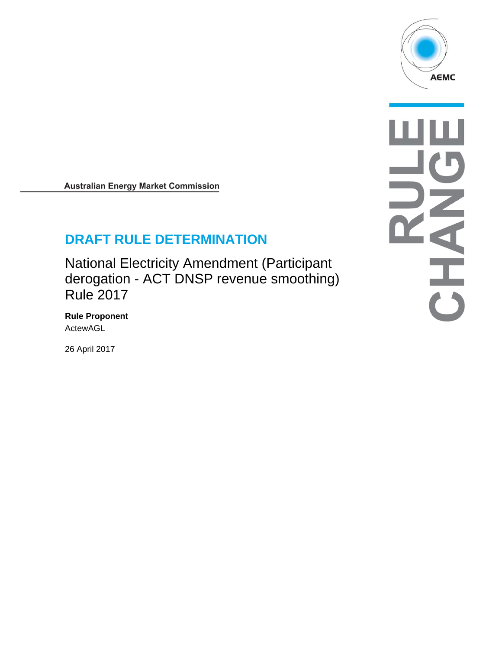

 $\overline{\mathbf{d}}$  $\frac{1}{\binom{3}{2}}$ 

**Australian Energy Market Commission** 

# **DRAFT RULE DETERMINATION**

National Electricity Amendment (Participant derogation - ACT DNSP revenue smoothing) Rule 2017

**Rule Proponent**  ActewAGL

26 April 2017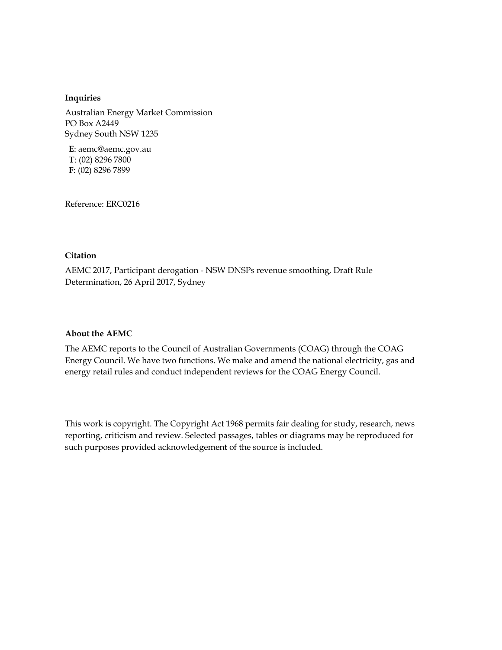#### **Inquiries**

Australian Energy Market Commission PO Box A2449 Sydney South NSW 1235

**E**: aemc@aemc.gov.au **T**: (02) 8296 7800 **F**: (02) 8296 7899

Reference: ERC0216

#### **Citation**

AEMC 2017, Participant derogation - NSW DNSPs revenue smoothing, Draft Rule Determination, 26 April 2017, Sydney

#### **About the AEMC**

The AEMC reports to the Council of Australian Governments (COAG) through the COAG Energy Council. We have two functions. We make and amend the national electricity, gas and energy retail rules and conduct independent reviews for the COAG Energy Council.

This work is copyright. The Copyright Act 1968 permits fair dealing for study, research, news reporting, criticism and review. Selected passages, tables or diagrams may be reproduced for such purposes provided acknowledgement of the source is included.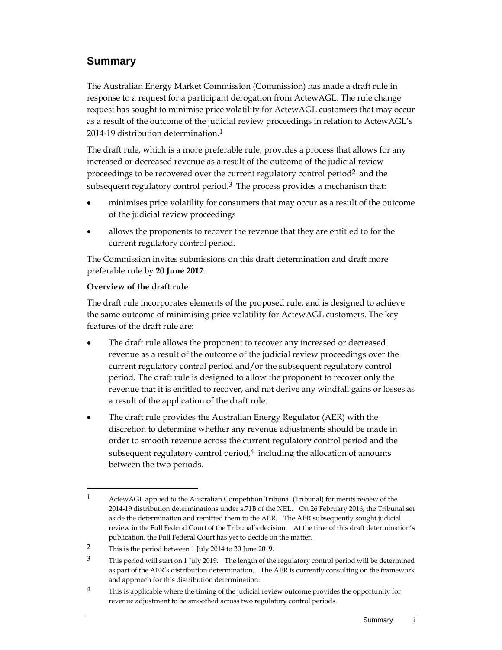# **Summary**

The Australian Energy Market Commission (Commission) has made a draft rule in response to a request for a participant derogation from ActewAGL. The rule change request has sought to minimise price volatility for ActewAGL customers that may occur as a result of the outcome of the judicial review proceedings in relation to ActewAGL's 2014-19 distribution determination.<sup>1</sup>

The draft rule, which is a more preferable rule, provides a process that allows for any increased or decreased revenue as a result of the outcome of the judicial review proceedings to be recovered over the current regulatory control period<sup>2</sup> and the subsequent regulatory control period.<sup>3</sup> The process provides a mechanism that:

- minimises price volatility for consumers that may occur as a result of the outcome of the judicial review proceedings
- allows the proponents to recover the revenue that they are entitled to for the current regulatory control period.

The Commission invites submissions on this draft determination and draft more preferable rule by **20 June 2017**.

## **Overview of the draft rule**

 $\overline{a}$ 

The draft rule incorporates elements of the proposed rule, and is designed to achieve the same outcome of minimising price volatility for ActewAGL customers. The key features of the draft rule are:

- The draft rule allows the proponent to recover any increased or decreased revenue as a result of the outcome of the judicial review proceedings over the current regulatory control period and/or the subsequent regulatory control period. The draft rule is designed to allow the proponent to recover only the revenue that it is entitled to recover, and not derive any windfall gains or losses as a result of the application of the draft rule.
- The draft rule provides the Australian Energy Regulator (AER) with the discretion to determine whether any revenue adjustments should be made in order to smooth revenue across the current regulatory control period and the subsequent regulatory control period, $4$  including the allocation of amounts between the two periods.

<sup>1</sup> ActewAGL applied to the Australian Competition Tribunal (Tribunal) for merits review of the 2014-19 distribution determinations under s.71B of the NEL. On 26 February 2016, the Tribunal set aside the determination and remitted them to the AER. The AER subsequently sought judicial review in the Full Federal Court of the Tribunal's decision. At the time of this draft determination's publication, the Full Federal Court has yet to decide on the matter.

<sup>2</sup> This is the period between 1 July 2014 to 30 June 2019.

 $3$  This period will start on 1 July 2019. The length of the regulatory control period will be determined as part of the AER's distribution determination. The AER is currently consulting on the framework and approach for this distribution determination.

 $4$  This is applicable where the timing of the judicial review outcome provides the opportunity for revenue adjustment to be smoothed across two regulatory control periods.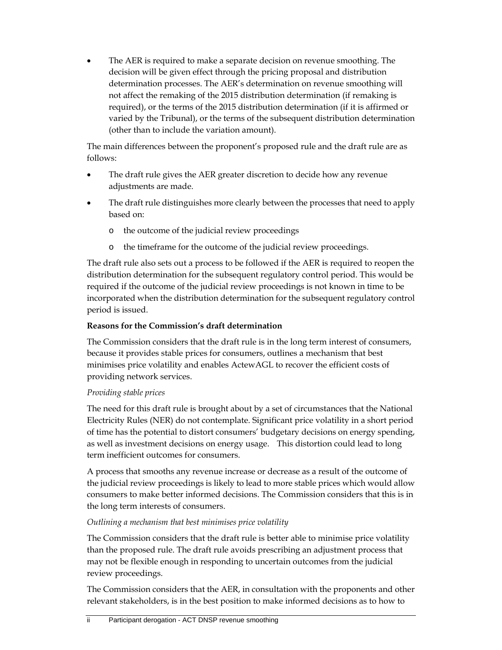The AER is required to make a separate decision on revenue smoothing. The decision will be given effect through the pricing proposal and distribution determination processes. The AER's determination on revenue smoothing will not affect the remaking of the 2015 distribution determination (if remaking is required), or the terms of the 2015 distribution determination (if it is affirmed or varied by the Tribunal), or the terms of the subsequent distribution determination (other than to include the variation amount).

The main differences between the proponent's proposed rule and the draft rule are as follows:

- The draft rule gives the AER greater discretion to decide how any revenue adjustments are made.
- The draft rule distinguishes more clearly between the processes that need to apply based on:
	- o the outcome of the judicial review proceedings
	- o the timeframe for the outcome of the judicial review proceedings.

The draft rule also sets out a process to be followed if the AER is required to reopen the distribution determination for the subsequent regulatory control period. This would be required if the outcome of the judicial review proceedings is not known in time to be incorporated when the distribution determination for the subsequent regulatory control period is issued.

#### **Reasons for the Commission's draft determination**

The Commission considers that the draft rule is in the long term interest of consumers, because it provides stable prices for consumers, outlines a mechanism that best minimises price volatility and enables ActewAGL to recover the efficient costs of providing network services.

#### *Providing stable prices*

The need for this draft rule is brought about by a set of circumstances that the National Electricity Rules (NER) do not contemplate. Significant price volatility in a short period of time has the potential to distort consumers' budgetary decisions on energy spending, as well as investment decisions on energy usage. This distortion could lead to long term inefficient outcomes for consumers.

A process that smooths any revenue increase or decrease as a result of the outcome of the judicial review proceedings is likely to lead to more stable prices which would allow consumers to make better informed decisions. The Commission considers that this is in the long term interests of consumers.

#### *Outlining a mechanism that best minimises price volatility*

The Commission considers that the draft rule is better able to minimise price volatility than the proposed rule. The draft rule avoids prescribing an adjustment process that may not be flexible enough in responding to uncertain outcomes from the judicial review proceedings.

The Commission considers that the AER, in consultation with the proponents and other relevant stakeholders, is in the best position to make informed decisions as to how to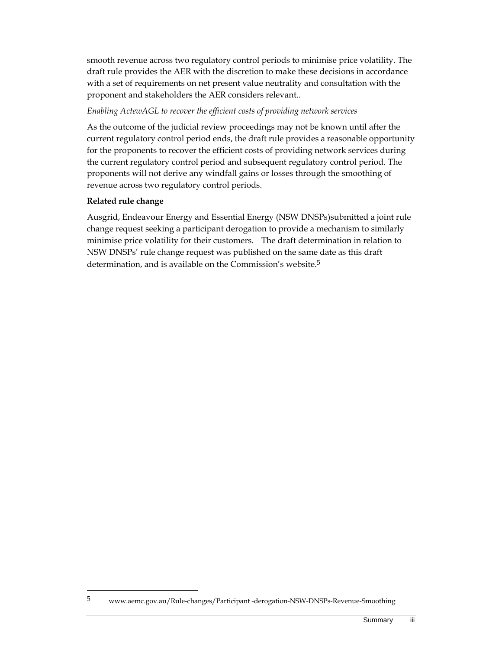smooth revenue across two regulatory control periods to minimise price volatility. The draft rule provides the AER with the discretion to make these decisions in accordance with a set of requirements on net present value neutrality and consultation with the proponent and stakeholders the AER considers relevant..

#### *Enabling ActewAGL to recover the efficient costs of providing network services*

As the outcome of the judicial review proceedings may not be known until after the current regulatory control period ends, the draft rule provides a reasonable opportunity for the proponents to recover the efficient costs of providing network services during the current regulatory control period and subsequent regulatory control period. The proponents will not derive any windfall gains or losses through the smoothing of revenue across two regulatory control periods.

## **Related rule change**

 $\overline{a}$ 

Ausgrid, Endeavour Energy and Essential Energy (NSW DNSPs)submitted a joint rule change request seeking a participant derogation to provide a mechanism to similarly minimise price volatility for their customers. The draft determination in relation to NSW DNSPs' rule change request was published on the same date as this draft determination, and is available on the Commission's website.<sup>5</sup>

<sup>5</sup> www.aemc.gov.au/Rule-changes/Participant -derogation-NSW-DNSPs-Revenue-Smoothing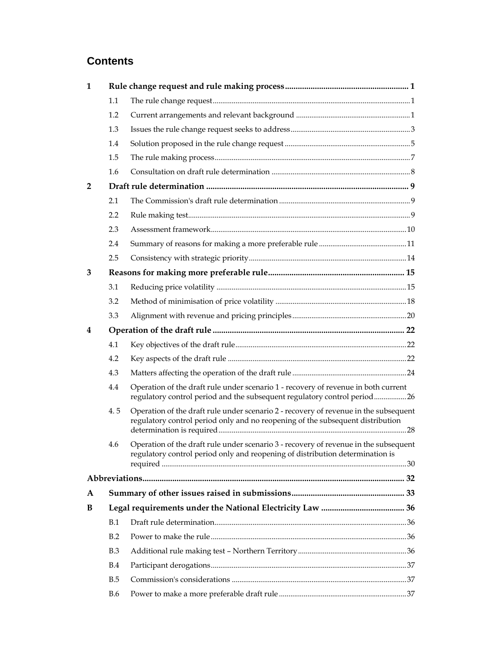# **Contents**

| $\mathbf{1}$   |            |                                                                                                                                                                        |  |  |  |
|----------------|------------|------------------------------------------------------------------------------------------------------------------------------------------------------------------------|--|--|--|
|                | 1.1        |                                                                                                                                                                        |  |  |  |
|                | 1.2        |                                                                                                                                                                        |  |  |  |
|                | 1.3        |                                                                                                                                                                        |  |  |  |
|                | 1.4        |                                                                                                                                                                        |  |  |  |
|                | 1.5        |                                                                                                                                                                        |  |  |  |
|                | 1.6        |                                                                                                                                                                        |  |  |  |
| $\overline{2}$ |            |                                                                                                                                                                        |  |  |  |
|                | 2.1        |                                                                                                                                                                        |  |  |  |
|                | 2.2        |                                                                                                                                                                        |  |  |  |
|                | 2.3        |                                                                                                                                                                        |  |  |  |
|                | 2.4        |                                                                                                                                                                        |  |  |  |
|                | 2.5        |                                                                                                                                                                        |  |  |  |
| 3              |            |                                                                                                                                                                        |  |  |  |
|                | 3.1        |                                                                                                                                                                        |  |  |  |
|                | 3.2        |                                                                                                                                                                        |  |  |  |
|                | 3.3        |                                                                                                                                                                        |  |  |  |
| 4              |            |                                                                                                                                                                        |  |  |  |
|                | 4.1        |                                                                                                                                                                        |  |  |  |
|                | 4.2        |                                                                                                                                                                        |  |  |  |
|                | 4.3        |                                                                                                                                                                        |  |  |  |
|                | 4.4        | Operation of the draft rule under scenario 1 - recovery of revenue in both current<br>regulatory control period and the subsequent regulatory control period26         |  |  |  |
|                | 4.5        | Operation of the draft rule under scenario 2 - recovery of revenue in the subsequent<br>regulatory control period only and no reopening of the subsequent distribution |  |  |  |
|                | 4.6        | Operation of the draft rule under scenario 3 - recovery of revenue in the subsequent<br>regulatory control period only and reopening of distribution determination is  |  |  |  |
|                |            |                                                                                                                                                                        |  |  |  |
| $\mathbf{A}$   |            |                                                                                                                                                                        |  |  |  |
| B              |            |                                                                                                                                                                        |  |  |  |
|                | B.1        |                                                                                                                                                                        |  |  |  |
|                | B.2        |                                                                                                                                                                        |  |  |  |
|                | B.3        |                                                                                                                                                                        |  |  |  |
|                | B.4        |                                                                                                                                                                        |  |  |  |
|                | B.5        |                                                                                                                                                                        |  |  |  |
|                | <b>B.6</b> |                                                                                                                                                                        |  |  |  |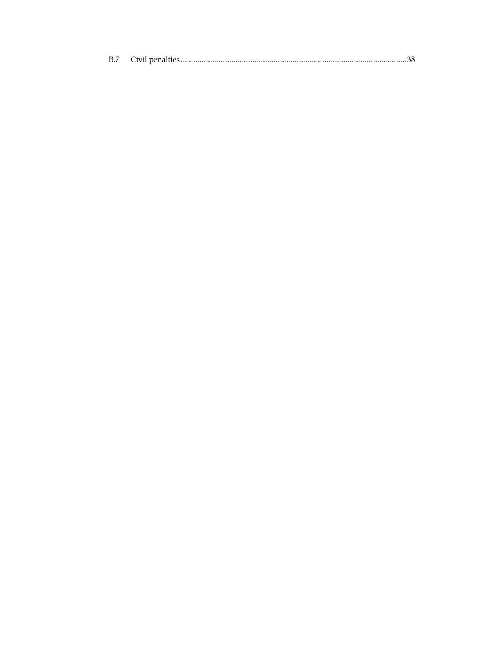| B.7 |  |  |
|-----|--|--|
|-----|--|--|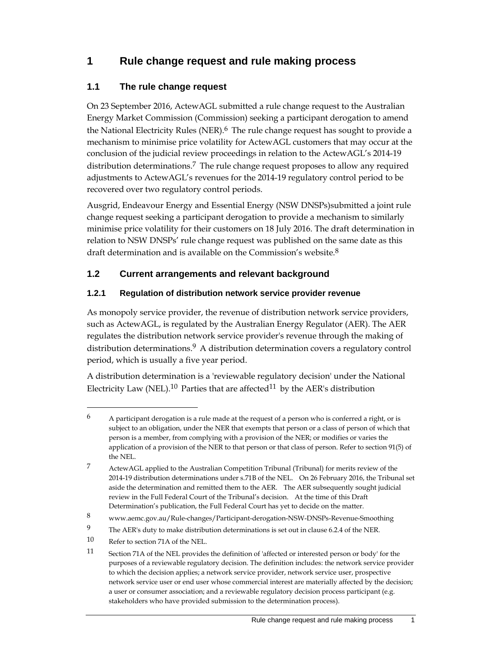# **1 Rule change request and rule making process**

## **1.1 The rule change request**

On 23 September 2016, ActewAGL submitted a rule change request to the Australian Energy Market Commission (Commission) seeking a participant derogation to amend the National Electricity Rules (NER).<sup>6</sup> The rule change request has sought to provide a mechanism to minimise price volatility for ActewAGL customers that may occur at the conclusion of the judicial review proceedings in relation to the ActewAGL's 2014-19 distribution determinations.7 The rule change request proposes to allow any required adjustments to ActewAGL's revenues for the 2014-19 regulatory control period to be recovered over two regulatory control periods.

Ausgrid, Endeavour Energy and Essential Energy (NSW DNSPs)submitted a joint rule change request seeking a participant derogation to provide a mechanism to similarly minimise price volatility for their customers on 18 July 2016. The draft determination in relation to NSW DNSPs' rule change request was published on the same date as this draft determination and is available on the Commission's website.<sup>8</sup>

## **1.2 Current arrangements and relevant background**

## **1.2.1 Regulation of distribution network service provider revenue**

As monopoly service provider, the revenue of distribution network service providers, such as ActewAGL, is regulated by the Australian Energy Regulator (AER). The AER regulates the distribution network service provider's revenue through the making of distribution determinations.<sup>9</sup> A distribution determination covers a regulatory control period, which is usually a five year period.

A distribution determination is a 'reviewable regulatory decision' under the National Electricity Law (NEL).<sup>10</sup> Parties that are affected<sup>11</sup> by the AER's distribution

 $^6$  A participant derogation is a rule made at the request of a person who is conferred a right, or is subject to an obligation, under the NER that exempts that person or a class of person of which that person is a member, from complying with a provision of the NER; or modifies or varies the application of a provision of the NER to that person or that class of person. Refer to section 91(5) of the NEL.

<sup>7</sup> ActewAGL applied to the Australian Competition Tribunal (Tribunal) for merits review of the 2014-19 distribution determinations under s.71B of the NEL. On 26 February 2016, the Tribunal set aside the determination and remitted them to the AER. The AER subsequently sought judicial review in the Full Federal Court of the Tribunal's decision. At the time of this Draft Determination's publication, the Full Federal Court has yet to decide on the matter.

<sup>8</sup> www.aemc.gov.au/Rule-changes/Participant-derogation-NSW-DNSPs-Revenue-Smoothing

<sup>9</sup> The AER's duty to make distribution determinations is set out in clause 6.2.4 of the NER.

<sup>10</sup> Refer to section 71A of the NEL.

<sup>11</sup> Section 71A of the NEL provides the definition of 'affected or interested person or body' for the purposes of a reviewable regulatory decision. The definition includes: the network service provider to which the decision applies; a network service provider, network service user, prospective network service user or end user whose commercial interest are materially affected by the decision; a user or consumer association; and a reviewable regulatory decision process participant (e.g. stakeholders who have provided submission to the determination process).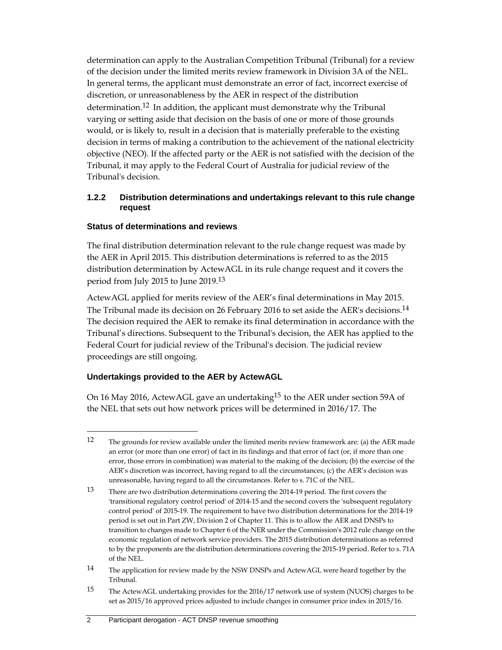determination can apply to the Australian Competition Tribunal (Tribunal) for a review of the decision under the limited merits review framework in Division 3A of the NEL. In general terms, the applicant must demonstrate an error of fact, incorrect exercise of discretion, or unreasonableness by the AER in respect of the distribution determination.12 In addition, the applicant must demonstrate why the Tribunal varying or setting aside that decision on the basis of one or more of those grounds would, or is likely to, result in a decision that is materially preferable to the existing decision in terms of making a contribution to the achievement of the national electricity objective (NEO). If the affected party or the AER is not satisfied with the decision of the Tribunal, it may apply to the Federal Court of Australia for judicial review of the Tribunal's decision.

#### **1.2.2 Distribution determinations and undertakings relevant to this rule change request**

#### **Status of determinations and reviews**

The final distribution determination relevant to the rule change request was made by the AER in April 2015. This distribution determinations is referred to as the 2015 distribution determination by ActewAGL in its rule change request and it covers the period from July 2015 to June 2019.13

ActewAGL applied for merits review of the AER's final determinations in May 2015. The Tribunal made its decision on 26 February 2016 to set aside the AER's decisions.14 The decision required the AER to remake its final determination in accordance with the Tribunal's directions. Subsequent to the Tribunal's decision, the AER has applied to the Federal Court for judicial review of the Tribunal's decision. The judicial review proceedings are still ongoing.

#### **Undertakings provided to the AER by ActewAGL**

 $\overline{a}$ 

On 16 May 2016, ActewAGL gave an undertaking<sup>15</sup> to the AER under section 59A of the NEL that sets out how network prices will be determined in 2016/17. The

<sup>12</sup> The grounds for review available under the limited merits review framework are: (a) the AER made an error (or more than one error) of fact in its findings and that error of fact (or, if more than one error, those errors in combination) was material to the making of the decision; (b) the exercise of the AER's discretion was incorrect, having regard to all the circumstances; (c) the AER's decision was unreasonable, having regard to all the circumstances. Refer to s. 71C of the NEL.

<sup>13</sup> There are two distribution determinations covering the 2014-19 period. The first covers the 'transitional regulatory control period' of 2014-15 and the second covers the 'subsequent regulatory control period' of 2015-19. The requirement to have two distribution determinations for the 2014-19 period is set out in Part ZW, Division 2 of Chapter 11. This is to allow the AER and DNSPs to transition to changes made to Chapter 6 of the NER under the Commission's 2012 rule change on the economic regulation of network service providers. The 2015 distribution determinations as referred to by the proponents are the distribution determinations covering the 2015-19 period. Refer to s. 71A of the NEL.

<sup>14</sup> The application for review made by the NSW DNSPs and ActewAGL were heard together by the Tribunal.

<sup>15</sup> The ActewAGL undertaking provides for the 2016/17 network use of system (NUOS) charges to be set as 2015/16 approved prices adjusted to include changes in consumer price index in 2015/16.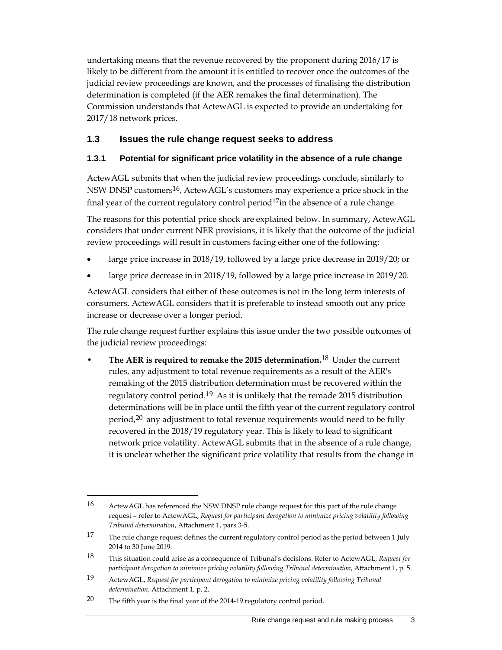undertaking means that the revenue recovered by the proponent during 2016/17 is likely to be different from the amount it is entitled to recover once the outcomes of the judicial review proceedings are known, and the processes of finalising the distribution determination is completed (if the AER remakes the final determination). The Commission understands that ActewAGL is expected to provide an undertaking for 2017/18 network prices.

## **1.3 Issues the rule change request seeks to address**

### **1.3.1 Potential for significant price volatility in the absence of a rule change**

ActewAGL submits that when the judicial review proceedings conclude, similarly to NSW DNSP customers<sup>16</sup>, ActewAGL's customers may experience a price shock in the final year of the current regulatory control period<sup>17</sup>in the absence of a rule change.

The reasons for this potential price shock are explained below. In summary, ActewAGL considers that under current NER provisions, it is likely that the outcome of the judicial review proceedings will result in customers facing either one of the following:

- large price increase in 2018/19, followed by a large price decrease in 2019/20; or
- large price decrease in in 2018/19, followed by a large price increase in 2019/20.

ActewAGL considers that either of these outcomes is not in the long term interests of consumers. ActewAGL considers that it is preferable to instead smooth out any price increase or decrease over a longer period.

The rule change request further explains this issue under the two possible outcomes of the judicial review proceedings:

• **The AER is required to remake the 2015 determination.**18 Under the current rules, any adjustment to total revenue requirements as a result of the AER's remaking of the 2015 distribution determination must be recovered within the regulatory control period.<sup>19</sup> As it is unlikely that the remade 2015 distribution determinations will be in place until the fifth year of the current regulatory control period,<sup>20</sup> any adjustment to total revenue requirements would need to be fully recovered in the 2018/19 regulatory year. This is likely to lead to significant network price volatility. ActewAGL submits that in the absence of a rule change, it is unclear whether the significant price volatility that results from the change in

<sup>16</sup> ActewAGL has referenced the NSW DNSP rule change request for this part of the rule change request – refer to ActewAGL, *Request for participant derogation to minimize pricing volatility following Tribunal determination*, Attachment 1, pars 3-5.

<sup>17</sup> The rule change request defines the current regulatory control period as the period between 1 July 2014 to 30 June 2019.

<sup>18</sup> This situation could arise as a consequence of Tribunal's decisions. Refer to ActewAGL, *Request for participant derogation to minimize pricing volatility following Tribunal determination*, Attachment 1, p. 5.

<sup>19</sup> ActewAGL, *Request for participant derogation to minimize pricing volatility following Tribunal determination*, Attachment 1, p. 2.

<sup>&</sup>lt;sup>20</sup> The fifth year is the final year of the 2014-19 regulatory control period.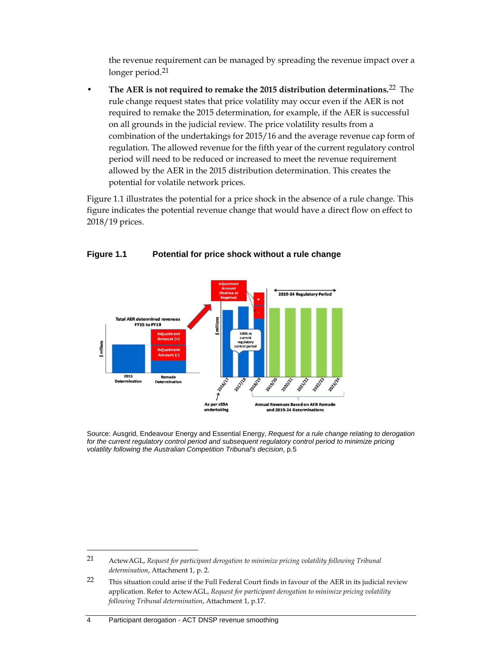the revenue requirement can be managed by spreading the revenue impact over a longer period.<sup>21</sup>

• **The AER is not required to remake the 2015 distribution determinations.**22 The rule change request states that price volatility may occur even if the AER is not required to remake the 2015 determination, for example, if the AER is successful on all grounds in the judicial review. The price volatility results from a combination of the undertakings for 2015/16 and the average revenue cap form of regulation. The allowed revenue for the fifth year of the current regulatory control period will need to be reduced or increased to meet the revenue requirement allowed by the AER in the 2015 distribution determination. This creates the potential for volatile network prices.

Figure 1.1 illustrates the potential for a price shock in the absence of a rule change. This figure indicates the potential revenue change that would have a direct flow on effect to 2018/19 prices.



## **Figure 1.1 Potential for price shock without a rule change**

Source: Ausgrid, Endeavour Energy and Essential Energy, *Request for a rule change relating to derogation for the current regulatory control period and subsequent regulatory control period to minimize pricing volatility following the Australian Competition Tribunal's decision*, p.5

-

<sup>21</sup> ActewAGL, *Request for participant derogation to minimize pricing volatility following Tribunal determination*, Attachment 1, p. 2.

<sup>22</sup> This situation could arise if the Full Federal Court finds in favour of the AER in its judicial review application. Refer to ActewAGL, *Request for participant derogation to minimize pricing volatility following Tribunal determination*, Attachment 1, p.17.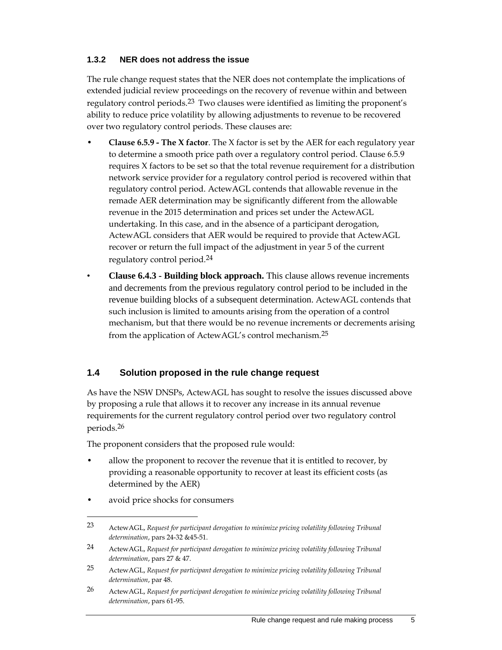#### **1.3.2 NER does not address the issue**

The rule change request states that the NER does not contemplate the implications of extended judicial review proceedings on the recovery of revenue within and between regulatory control periods.<sup>23</sup> Two clauses were identified as limiting the proponent's ability to reduce price volatility by allowing adjustments to revenue to be recovered over two regulatory control periods. These clauses are:

- **Clause 6.5.9 The X factor**. The X factor is set by the AER for each regulatory year to determine a smooth price path over a regulatory control period. Clause 6.5.9 requires X factors to be set so that the total revenue requirement for a distribution network service provider for a regulatory control period is recovered within that regulatory control period. ActewAGL contends that allowable revenue in the remade AER determination may be significantly different from the allowable revenue in the 2015 determination and prices set under the ActewAGL undertaking. In this case, and in the absence of a participant derogation, ActewAGL considers that AER would be required to provide that ActewAGL recover or return the full impact of the adjustment in year 5 of the current regulatory control period.24
- **Clause 6.4.3 Building block approach.** This clause allows revenue increments and decrements from the previous regulatory control period to be included in the revenue building blocks of a subsequent determination. ActewAGL contends that such inclusion is limited to amounts arising from the operation of a control mechanism, but that there would be no revenue increments or decrements arising from the application of ActewAGL's control mechanism.25

## **1.4 Solution proposed in the rule change request**

As have the NSW DNSPs, ActewAGL has sought to resolve the issues discussed above by proposing a rule that allows it to recover any increase in its annual revenue requirements for the current regulatory control period over two regulatory control periods.26

The proponent considers that the proposed rule would:

- allow the proponent to recover the revenue that it is entitled to recover, by providing a reasonable opportunity to recover at least its efficient costs (as determined by the AER)
- avoid price shocks for consumers

<sup>23</sup> ActewAGL, *Request for participant derogation to minimize pricing volatility following Tribunal determination*, pars 24-32 &45-51.

<sup>24</sup> ActewAGL, *Request for participant derogation to minimize pricing volatility following Tribunal determination*, pars 27 & 47.

<sup>25</sup> ActewAGL, *Request for participant derogation to minimize pricing volatility following Tribunal determination*, par 48.

<sup>26</sup> ActewAGL, *Request for participant derogation to minimize pricing volatility following Tribunal determination*, pars 61-95.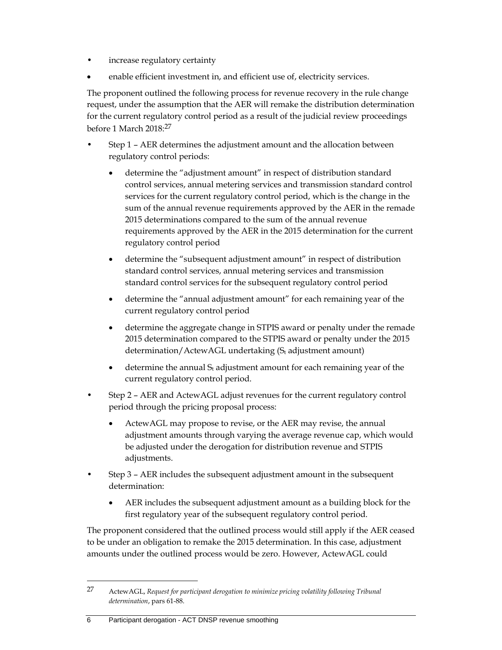- increase regulatory certainty
- enable efficient investment in, and efficient use of, electricity services.

The proponent outlined the following process for revenue recovery in the rule change request, under the assumption that the AER will remake the distribution determination for the current regulatory control period as a result of the judicial review proceedings before 1 March 2018:27

- Step 1 AER determines the adjustment amount and the allocation between regulatory control periods:
	- determine the "adjustment amount" in respect of distribution standard control services, annual metering services and transmission standard control services for the current regulatory control period, which is the change in the sum of the annual revenue requirements approved by the AER in the remade 2015 determinations compared to the sum of the annual revenue requirements approved by the AER in the 2015 determination for the current regulatory control period
	- determine the "subsequent adjustment amount" in respect of distribution standard control services, annual metering services and transmission standard control services for the subsequent regulatory control period
	- determine the "annual adjustment amount" for each remaining year of the current regulatory control period
	- determine the aggregate change in STPIS award or penalty under the remade 2015 determination compared to the STPIS award or penalty under the 2015 determination/ActewAGL undertaking  $(S_t$  adjustment amount)
	- $\bullet$  determine the annual  $S_t$  adjustment amount for each remaining year of the current regulatory control period.
- Step 2 AER and ActewAGL adjust revenues for the current regulatory control period through the pricing proposal process:
	- ActewAGL may propose to revise, or the AER may revise, the annual adjustment amounts through varying the average revenue cap, which would be adjusted under the derogation for distribution revenue and STPIS adjustments.
- Step 3 AER includes the subsequent adjustment amount in the subsequent determination:
	- AER includes the subsequent adjustment amount as a building block for the first regulatory year of the subsequent regulatory control period.

The proponent considered that the outlined process would still apply if the AER ceased to be under an obligation to remake the 2015 determination. In this case, adjustment amounts under the outlined process would be zero. However, ActewAGL could

6 Participant derogation - ACT DNSP revenue smoothing

<sup>27</sup> ActewAGL, *Request for participant derogation to minimize pricing volatility following Tribunal determination*, pars 61-88.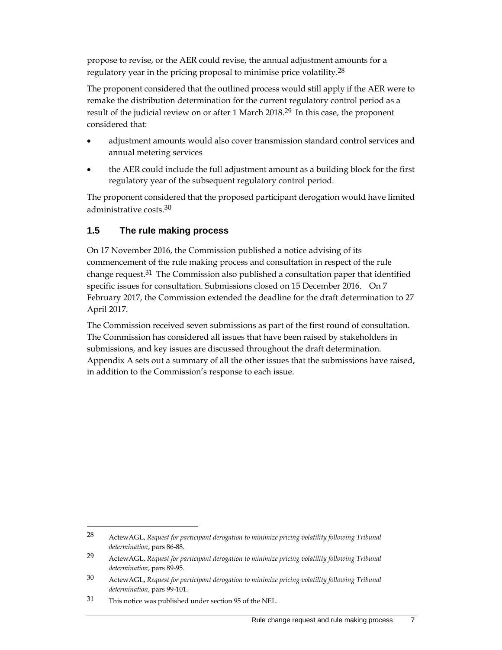propose to revise, or the AER could revise, the annual adjustment amounts for a regulatory year in the pricing proposal to minimise price volatility.28

The proponent considered that the outlined process would still apply if the AER were to remake the distribution determination for the current regulatory control period as a result of the judicial review on or after 1 March 2018.<sup>29</sup> In this case, the proponent considered that:

- adjustment amounts would also cover transmission standard control services and annual metering services
- the AER could include the full adjustment amount as a building block for the first regulatory year of the subsequent regulatory control period.

The proponent considered that the proposed participant derogation would have limited administrative costs.30

## **1.5 The rule making process**

On 17 November 2016, the Commission published a notice advising of its commencement of the rule making process and consultation in respect of the rule change request.<sup>31</sup> The Commission also published a consultation paper that identified specific issues for consultation. Submissions closed on 15 December 2016. On 7 February 2017, the Commission extended the deadline for the draft determination to 27 April 2017.

The Commission received seven submissions as part of the first round of consultation. The Commission has considered all issues that have been raised by stakeholders in submissions, and key issues are discussed throughout the draft determination. Appendix A sets out a summary of all the other issues that the submissions have raised, in addition to the Commission's response to each issue.

<sup>28</sup> ActewAGL, *Request for participant derogation to minimize pricing volatility following Tribunal determination*, pars 86-88.

<sup>29</sup> ActewAGL, *Request for participant derogation to minimize pricing volatility following Tribunal determination*, pars 89-95.

<sup>30</sup> ActewAGL, *Request for participant derogation to minimize pricing volatility following Tribunal determination*, pars 99-101.

<sup>31</sup> This notice was published under section 95 of the NEL.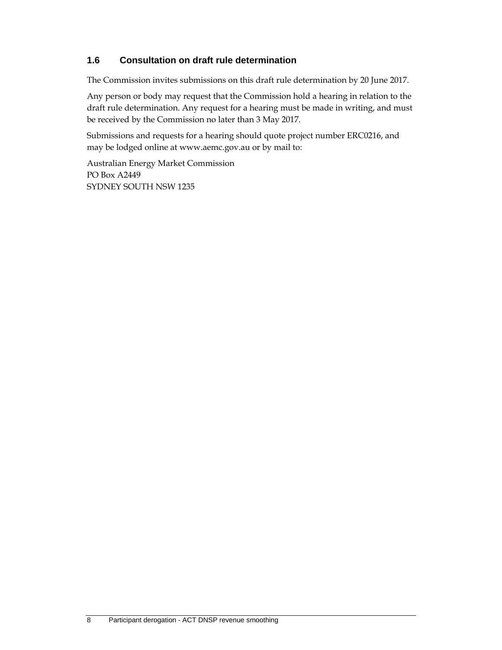## **1.6 Consultation on draft rule determination**

The Commission invites submissions on this draft rule determination by 20 June 2017.

Any person or body may request that the Commission hold a hearing in relation to the draft rule determination. Any request for a hearing must be made in writing, and must be received by the Commission no later than 3 May 2017.

Submissions and requests for a hearing should quote project number ERC0216, and may be lodged online at www.aemc.gov.au or by mail to:

Australian Energy Market Commission PO Box A2449 SYDNEY SOUTH NSW 1235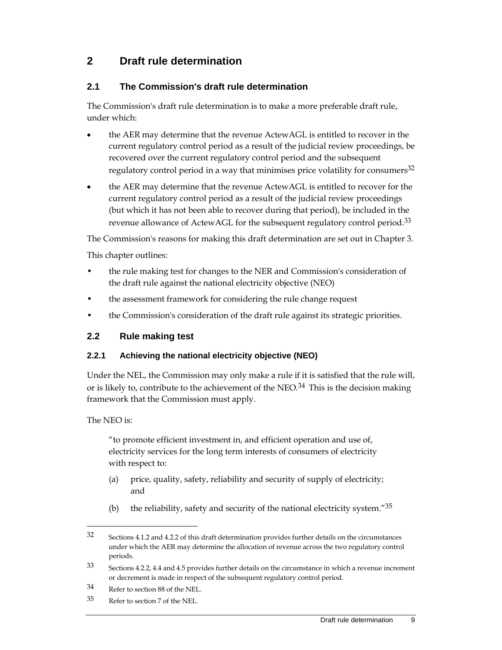# **2 Draft rule determination**

## **2.1 The Commission's draft rule determination**

The Commission's draft rule determination is to make a more preferable draft rule, under which:

- the AER may determine that the revenue ActewAGL is entitled to recover in the current regulatory control period as a result of the judicial review proceedings, be recovered over the current regulatory control period and the subsequent regulatory control period in a way that minimises price volatility for consumers<sup>32</sup>
- the AER may determine that the revenue ActewAGL is entitled to recover for the current regulatory control period as a result of the judicial review proceedings (but which it has not been able to recover during that period), be included in the revenue allowance of ActewAGL for the subsequent regulatory control period.<sup>33</sup>

The Commission's reasons for making this draft determination are set out in Chapter 3.

This chapter outlines:

- the rule making test for changes to the NER and Commission's consideration of the draft rule against the national electricity objective (NEO)
- the assessment framework for considering the rule change request
- the Commission's consideration of the draft rule against its strategic priorities.

#### **2.2 Rule making test**

#### **2.2.1 Achieving the national electricity objective (NEO)**

Under the NEL, the Commission may only make a rule if it is satisfied that the rule will, or is likely to, contribute to the achievement of the  $NEO<sup>34</sup>$ . This is the decision making framework that the Commission must apply.

#### The NEO is:

 $\overline{a}$ 

"to promote efficient investment in, and efficient operation and use of, electricity services for the long term interests of consumers of electricity with respect to:

- (a) price, quality, safety, reliability and security of supply of electricity; and
- (b) the reliability, safety and security of the national electricity system." $35$

<sup>32</sup> Sections 4.1.2 and 4.2.2 of this draft determination provides further details on the circumstances under which the AER may determine the allocation of revenue across the two regulatory control periods.

<sup>33</sup> Sections 4.2.2, 4.4 and 4.5 provides further details on the circumstance in which a revenue increment or decrement is made in respect of the subsequent regulatory control period.

<sup>34</sup> Refer to section 88 of the NEL.

<sup>35</sup> Refer to section 7 of the NEL.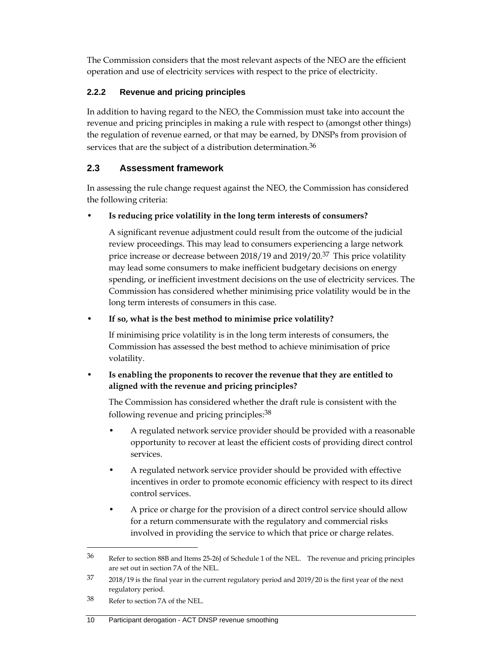The Commission considers that the most relevant aspects of the NEO are the efficient operation and use of electricity services with respect to the price of electricity.

## **2.2.2 Revenue and pricing principles**

In addition to having regard to the NEO, the Commission must take into account the revenue and pricing principles in making a rule with respect to (amongst other things) the regulation of revenue earned, or that may be earned, by DNSPs from provision of services that are the subject of a distribution determination.<sup>36</sup>

## **2.3 Assessment framework**

In assessing the rule change request against the NEO, the Commission has considered the following criteria:

• **Is reducing price volatility in the long term interests of consumers?**

A significant revenue adjustment could result from the outcome of the judicial review proceedings. This may lead to consumers experiencing a large network price increase or decrease between 2018/19 and 2019/20.<sup>37</sup> This price volatility may lead some consumers to make inefficient budgetary decisions on energy spending, or inefficient investment decisions on the use of electricity services. The Commission has considered whether minimising price volatility would be in the long term interests of consumers in this case.

## • **If so, what is the best method to minimise price volatility?**

If minimising price volatility is in the long term interests of consumers, the Commission has assessed the best method to achieve minimisation of price volatility.

## • **Is enabling the proponents to recover the revenue that they are entitled to aligned with the revenue and pricing principles?**

The Commission has considered whether the draft rule is consistent with the following revenue and pricing principles:38

- A regulated network service provider should be provided with a reasonable opportunity to recover at least the efficient costs of providing direct control services.
- A regulated network service provider should be provided with effective incentives in order to promote economic efficiency with respect to its direct control services.
- A price or charge for the provision of a direct control service should allow for a return commensurate with the regulatory and commercial risks involved in providing the service to which that price or charge relates.

<sup>36</sup> Refer to section 88B and Items 25-26J of Schedule 1 of the NEL. The revenue and pricing principles are set out in section 7A of the NEL.

<sup>37 2018/19</sup> is the final year in the current regulatory period and 2019/20 is the first year of the next regulatory period.

<sup>38</sup> Refer to section 7A of the NEL.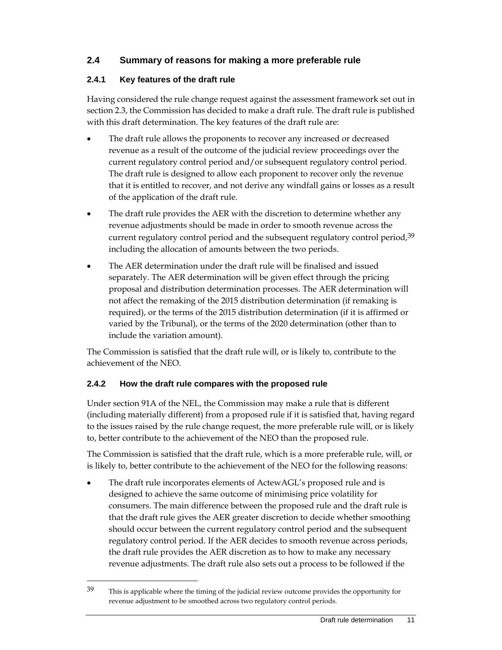## **2.4 Summary of reasons for making a more preferable rule**

## **2.4.1 Key features of the draft rule**

Having considered the rule change request against the assessment framework set out in section 2.3, the Commission has decided to make a draft rule. The draft rule is published with this draft determination. The key features of the draft rule are:

- The draft rule allows the proponents to recover any increased or decreased revenue as a result of the outcome of the judicial review proceedings over the current regulatory control period and/or subsequent regulatory control period. The draft rule is designed to allow each proponent to recover only the revenue that it is entitled to recover, and not derive any windfall gains or losses as a result of the application of the draft rule.
- The draft rule provides the AER with the discretion to determine whether any revenue adjustments should be made in order to smooth revenue across the current regulatory control period and the subsequent regulatory control period,  $39$ including the allocation of amounts between the two periods.
- The AER determination under the draft rule will be finalised and issued separately. The AER determination will be given effect through the pricing proposal and distribution determination processes. The AER determination will not affect the remaking of the 2015 distribution determination (if remaking is required), or the terms of the 2015 distribution determination (if it is affirmed or varied by the Tribunal), or the terms of the 2020 determination (other than to include the variation amount).

The Commission is satisfied that the draft rule will, or is likely to, contribute to the achievement of the NEO.

#### **2.4.2 How the draft rule compares with the proposed rule**

Under section 91A of the NEL, the Commission may make a rule that is different (including materially different) from a proposed rule if it is satisfied that, having regard to the issues raised by the rule change request, the more preferable rule will, or is likely to, better contribute to the achievement of the NEO than the proposed rule.

The Commission is satisfied that the draft rule, which is a more preferable rule, will, or is likely to, better contribute to the achievement of the NEO for the following reasons:

 The draft rule incorporates elements of ActewAGL's proposed rule and is designed to achieve the same outcome of minimising price volatility for consumers. The main difference between the proposed rule and the draft rule is that the draft rule gives the AER greater discretion to decide whether smoothing should occur between the current regulatory control period and the subsequent regulatory control period. If the AER decides to smooth revenue across periods, the draft rule provides the AER discretion as to how to make any necessary revenue adjustments. The draft rule also sets out a process to be followed if the

<sup>&</sup>lt;sup>39</sup> This is applicable where the timing of the judicial review outcome provides the opportunity for revenue adjustment to be smoothed across two regulatory control periods.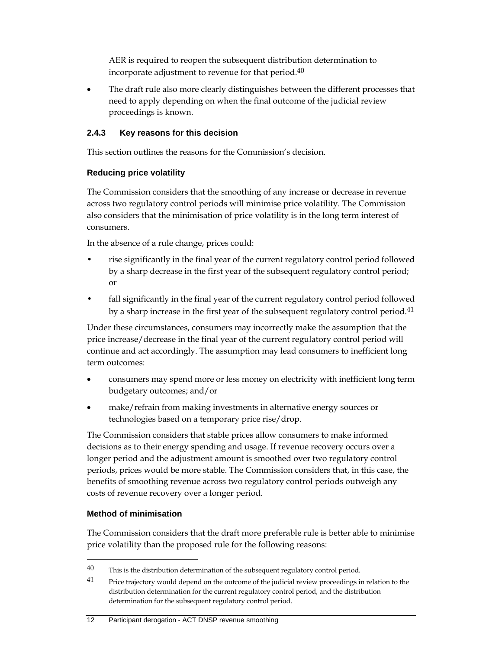AER is required to reopen the subsequent distribution determination to incorporate adjustment to revenue for that period.40

 The draft rule also more clearly distinguishes between the different processes that need to apply depending on when the final outcome of the judicial review proceedings is known.

## **2.4.3 Key reasons for this decision**

This section outlines the reasons for the Commission's decision.

## **Reducing price volatility**

The Commission considers that the smoothing of any increase or decrease in revenue across two regulatory control periods will minimise price volatility. The Commission also considers that the minimisation of price volatility is in the long term interest of consumers.

In the absence of a rule change, prices could:

- rise significantly in the final year of the current regulatory control period followed by a sharp decrease in the first year of the subsequent regulatory control period; or
- fall significantly in the final year of the current regulatory control period followed by a sharp increase in the first year of the subsequent regulatory control period.<sup>41</sup>

Under these circumstances, consumers may incorrectly make the assumption that the price increase/decrease in the final year of the current regulatory control period will continue and act accordingly. The assumption may lead consumers to inefficient long term outcomes:

- consumers may spend more or less money on electricity with inefficient long term budgetary outcomes; and/or
- make/refrain from making investments in alternative energy sources or technologies based on a temporary price rise/drop.

The Commission considers that stable prices allow consumers to make informed decisions as to their energy spending and usage. If revenue recovery occurs over a longer period and the adjustment amount is smoothed over two regulatory control periods, prices would be more stable. The Commission considers that, in this case, the benefits of smoothing revenue across two regulatory control periods outweigh any costs of revenue recovery over a longer period.

## **Method of minimisation**

 $\overline{a}$ 

The Commission considers that the draft more preferable rule is better able to minimise price volatility than the proposed rule for the following reasons:

#### 12 Participant derogation - ACT DNSP revenue smoothing

 $40$  This is the distribution determination of the subsequent regulatory control period.

<sup>&</sup>lt;sup>41</sup> Price trajectory would depend on the outcome of the judicial review proceedings in relation to the distribution determination for the current regulatory control period, and the distribution determination for the subsequent regulatory control period.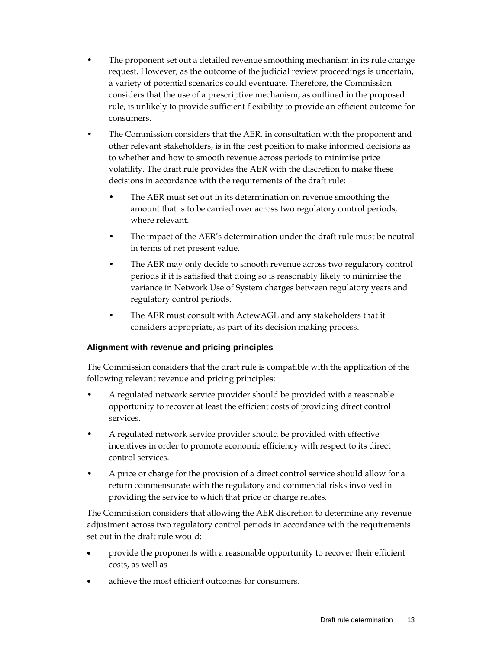- The proponent set out a detailed revenue smoothing mechanism in its rule change request. However, as the outcome of the judicial review proceedings is uncertain, a variety of potential scenarios could eventuate. Therefore, the Commission considers that the use of a prescriptive mechanism, as outlined in the proposed rule, is unlikely to provide sufficient flexibility to provide an efficient outcome for consumers.
- The Commission considers that the AER, in consultation with the proponent and other relevant stakeholders, is in the best position to make informed decisions as to whether and how to smooth revenue across periods to minimise price volatility. The draft rule provides the AER with the discretion to make these decisions in accordance with the requirements of the draft rule:
	- The AER must set out in its determination on revenue smoothing the amount that is to be carried over across two regulatory control periods, where relevant.
	- The impact of the AER's determination under the draft rule must be neutral in terms of net present value.
	- The AER may only decide to smooth revenue across two regulatory control periods if it is satisfied that doing so is reasonably likely to minimise the variance in Network Use of System charges between regulatory years and regulatory control periods.
	- The AER must consult with ActewAGL and any stakeholders that it considers appropriate, as part of its decision making process.

## **Alignment with revenue and pricing principles**

The Commission considers that the draft rule is compatible with the application of the following relevant revenue and pricing principles:

- A regulated network service provider should be provided with a reasonable opportunity to recover at least the efficient costs of providing direct control services.
- A regulated network service provider should be provided with effective incentives in order to promote economic efficiency with respect to its direct control services.
- A price or charge for the provision of a direct control service should allow for a return commensurate with the regulatory and commercial risks involved in providing the service to which that price or charge relates.

The Commission considers that allowing the AER discretion to determine any revenue adjustment across two regulatory control periods in accordance with the requirements set out in the draft rule would:

- provide the proponents with a reasonable opportunity to recover their efficient costs, as well as
- achieve the most efficient outcomes for consumers.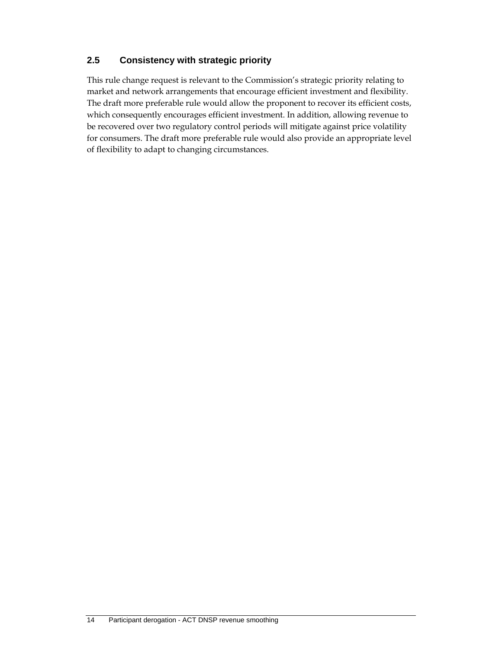## **2.5 Consistency with strategic priority**

This rule change request is relevant to the Commission's strategic priority relating to market and network arrangements that encourage efficient investment and flexibility. The draft more preferable rule would allow the proponent to recover its efficient costs, which consequently encourages efficient investment. In addition, allowing revenue to be recovered over two regulatory control periods will mitigate against price volatility for consumers. The draft more preferable rule would also provide an appropriate level of flexibility to adapt to changing circumstances.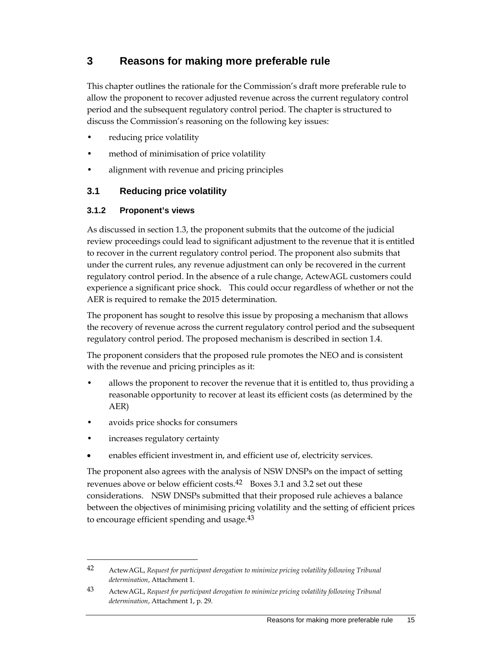## **3 Reasons for making more preferable rule**

This chapter outlines the rationale for the Commission's draft more preferable rule to allow the proponent to recover adjusted revenue across the current regulatory control period and the subsequent regulatory control period. The chapter is structured to discuss the Commission's reasoning on the following key issues:

- reducing price volatility
- method of minimisation of price volatility
- alignment with revenue and pricing principles

## **3.1 Reducing price volatility**

#### **3.1.2 Proponent's views**

As discussed in section 1.3, the proponent submits that the outcome of the judicial review proceedings could lead to significant adjustment to the revenue that it is entitled to recover in the current regulatory control period. The proponent also submits that under the current rules, any revenue adjustment can only be recovered in the current regulatory control period. In the absence of a rule change, ActewAGL customers could experience a significant price shock. This could occur regardless of whether or not the AER is required to remake the 2015 determination.

The proponent has sought to resolve this issue by proposing a mechanism that allows the recovery of revenue across the current regulatory control period and the subsequent regulatory control period. The proposed mechanism is described in section 1.4.

The proponent considers that the proposed rule promotes the NEO and is consistent with the revenue and pricing principles as it:

- allows the proponent to recover the revenue that it is entitled to, thus providing a reasonable opportunity to recover at least its efficient costs (as determined by the AER)
- avoids price shocks for consumers
- increases regulatory certainty

 $\overline{a}$ 

enables efficient investment in, and efficient use of, electricity services.

The proponent also agrees with the analysis of NSW DNSPs on the impact of setting revenues above or below efficient costs.<sup>42</sup> Boxes 3.1 and 3.2 set out these considerations. NSW DNSPs submitted that their proposed rule achieves a balance between the objectives of minimising pricing volatility and the setting of efficient prices to encourage efficient spending and usage.<sup>43</sup>

<sup>42</sup> ActewAGL, *Request for participant derogation to minimize pricing volatility following Tribunal determination*, Attachment 1.

<sup>43</sup> ActewAGL, *Request for participant derogation to minimize pricing volatility following Tribunal determination*, Attachment 1, p. 29.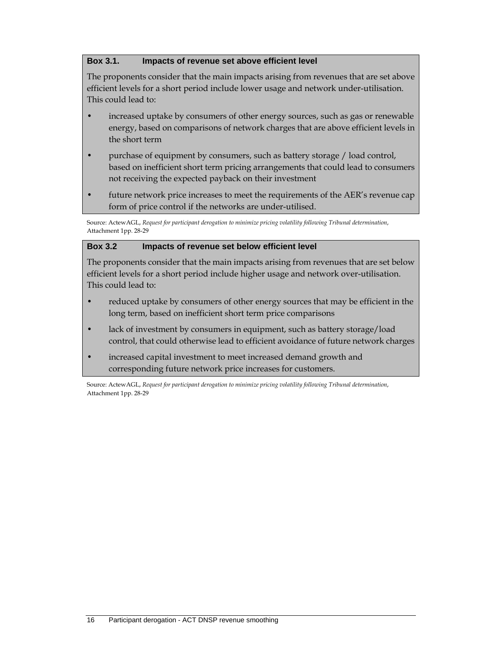### **Box 3.1. Impacts of revenue set above efficient level**

The proponents consider that the main impacts arising from revenues that are set above efficient levels for a short period include lower usage and network under-utilisation. This could lead to:

- increased uptake by consumers of other energy sources, such as gas or renewable energy, based on comparisons of network charges that are above efficient levels in the short term
- purchase of equipment by consumers, such as battery storage / load control, based on inefficient short term pricing arrangements that could lead to consumers not receiving the expected payback on their investment
- future network price increases to meet the requirements of the AER's revenue cap form of price control if the networks are under-utilised.

Source: ActewAGL, *Request for participant derogation to minimize pricing volatility following Tribunal determination*, Attachment 1pp. 28-29

## **Box 3.2 Impacts of revenue set below efficient level**

The proponents consider that the main impacts arising from revenues that are set below efficient levels for a short period include higher usage and network over-utilisation. This could lead to:

- reduced uptake by consumers of other energy sources that may be efficient in the long term, based on inefficient short term price comparisons
- lack of investment by consumers in equipment, such as battery storage/load control, that could otherwise lead to efficient avoidance of future network charges
- increased capital investment to meet increased demand growth and corresponding future network price increases for customers.

Source: ActewAGL, *Request for participant derogation to minimize pricing volatility following Tribunal determination*, Attachment 1pp. 28-29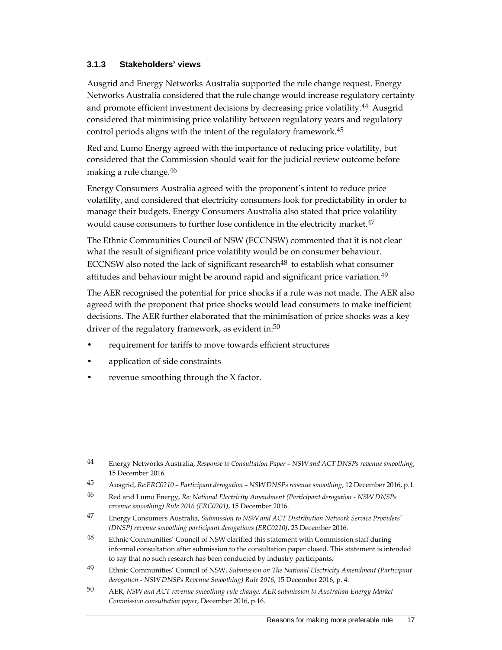#### **3.1.3 Stakeholders' views**

Ausgrid and Energy Networks Australia supported the rule change request. Energy Networks Australia considered that the rule change would increase regulatory certainty and promote efficient investment decisions by decreasing price volatility.<sup>44</sup> Ausgrid considered that minimising price volatility between regulatory years and regulatory control periods aligns with the intent of the regulatory framework.<sup>45</sup>

Red and Lumo Energy agreed with the importance of reducing price volatility, but considered that the Commission should wait for the judicial review outcome before making a rule change.46

Energy Consumers Australia agreed with the proponent's intent to reduce price volatility, and considered that electricity consumers look for predictability in order to manage their budgets. Energy Consumers Australia also stated that price volatility would cause consumers to further lose confidence in the electricity market.<sup>47</sup>

The Ethnic Communities Council of NSW (ECCNSW) commented that it is not clear what the result of significant price volatility would be on consumer behaviour. ECCNSW also noted the lack of significant research $48$  to establish what consumer attitudes and behaviour might be around rapid and significant price variation.<sup>49</sup>

The AER recognised the potential for price shocks if a rule was not made. The AER also agreed with the proponent that price shocks would lead consumers to make inefficient decisions. The AER further elaborated that the minimisation of price shocks was a key driver of the regulatory framework, as evident in:<sup>50</sup>

- requirement for tariffs to move towards efficient structures
- application of side constraints

 $\overline{a}$ 

revenue smoothing through the X factor.

<sup>44</sup> Energy Networks Australia, *Response to Consultation Paper – NSW and ACT DNSPs revenue smoothing*, 15 December 2016.

<sup>45</sup> Ausgrid, *Re:ERC0210 – Participant derogation – NSW DNSPs revenue smoothing*, 12 December 2016, p.1.

<sup>46</sup> Red and Lumo Energy, *Re: National Electricity Amendment (Participant derogation - NSW DNSPs revenue smoothing) Rule 2016 (ERC0201)*, 15 December 2016.

<sup>47</sup> Energy Consumers Australia, *Submission to NSW and ACT Distribution Network Service Providers' (DNSP) revenue smoothing participant derogations (ERC0210)*, 23 December 2016.

<sup>48</sup> Ethnic Communities' Council of NSW clarified this statement with Commission staff during informal consultation after submission to the consultation paper closed. This statement is intended to say that no such research has been conducted by industry participants.

<sup>49</sup> Ethnic Communities' Council of NSW, *Submission on The National Electricity Amendment (Participant derogation - NSW DNSPs Revenue Smoothing) Rule 2016*, 15 December 2016, p. 4.

<sup>50</sup> AER, *NSW and ACT revenue smoothing rule change: AER submission to Australian Energy Market Commission consultation paper*, December 2016, p.16.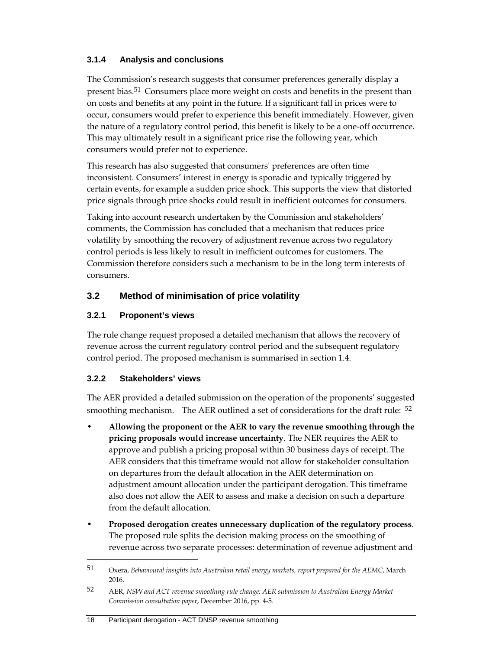## **3.1.4 Analysis and conclusions**

The Commission's research suggests that consumer preferences generally display a present bias.51 Consumers place more weight on costs and benefits in the present than on costs and benefits at any point in the future. If a significant fall in prices were to occur, consumers would prefer to experience this benefit immediately. However, given the nature of a regulatory control period, this benefit is likely to be a one-off occurrence. This may ultimately result in a significant price rise the following year, which consumers would prefer not to experience.

This research has also suggested that consumers' preferences are often time inconsistent. Consumers' interest in energy is sporadic and typically triggered by certain events, for example a sudden price shock. This supports the view that distorted price signals through price shocks could result in inefficient outcomes for consumers.

Taking into account research undertaken by the Commission and stakeholders' comments, the Commission has concluded that a mechanism that reduces price volatility by smoothing the recovery of adjustment revenue across two regulatory control periods is less likely to result in inefficient outcomes for customers. The Commission therefore considers such a mechanism to be in the long term interests of consumers.

## **3.2 Method of minimisation of price volatility**

## **3.2.1 Proponent's views**

The rule change request proposed a detailed mechanism that allows the recovery of revenue across the current regulatory control period and the subsequent regulatory control period. The proposed mechanism is summarised in section 1.4.

#### **3.2.2 Stakeholders' views**

 $\overline{a}$ 

The AER provided a detailed submission on the operation of the proponents' suggested smoothing mechanism. The AER outlined a set of considerations for the draft rule: <sup>52</sup>

- **Allowing the proponent or the AER to vary the revenue smoothing through the pricing proposals would increase uncertainty**. The NER requires the AER to approve and publish a pricing proposal within 30 business days of receipt. The AER considers that this timeframe would not allow for stakeholder consultation on departures from the default allocation in the AER determination on adjustment amount allocation under the participant derogation. This timeframe also does not allow the AER to assess and make a decision on such a departure from the default allocation.
- **Proposed derogation creates unnecessary duplication of the regulatory process**. The proposed rule splits the decision making process on the smoothing of revenue across two separate processes: determination of revenue adjustment and

<sup>51</sup> Oxera, *Behavioural insights into Australian retail energy markets, report prepared for the AEMC*, March 2016.

<sup>52</sup> AER, *NSW and ACT revenue smoothing rule change: AER submission to Australian Energy Market Commission consultation paper*, December 2016, pp. 4-5.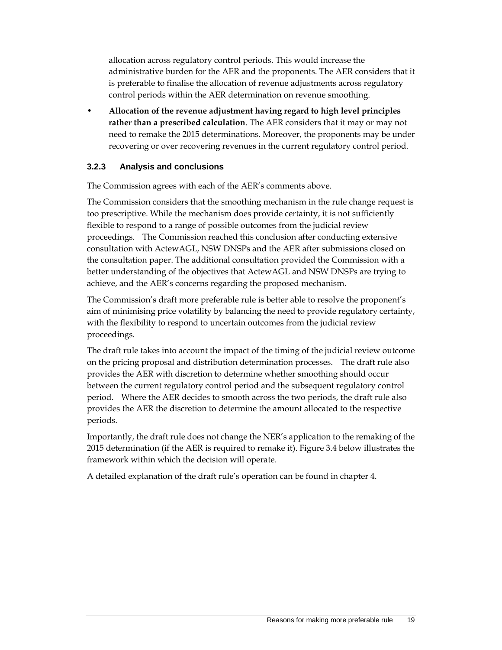allocation across regulatory control periods. This would increase the administrative burden for the AER and the proponents. The AER considers that it is preferable to finalise the allocation of revenue adjustments across regulatory control periods within the AER determination on revenue smoothing.

• **Allocation of the revenue adjustment having regard to high level principles rather than a prescribed calculation**. The AER considers that it may or may not need to remake the 2015 determinations. Moreover, the proponents may be under recovering or over recovering revenues in the current regulatory control period.

## **3.2.3 Analysis and conclusions**

The Commission agrees with each of the AER's comments above.

The Commission considers that the smoothing mechanism in the rule change request is too prescriptive. While the mechanism does provide certainty, it is not sufficiently flexible to respond to a range of possible outcomes from the judicial review proceedings. The Commission reached this conclusion after conducting extensive consultation with ActewAGL, NSW DNSPs and the AER after submissions closed on the consultation paper. The additional consultation provided the Commission with a better understanding of the objectives that ActewAGL and NSW DNSPs are trying to achieve, and the AER's concerns regarding the proposed mechanism.

The Commission's draft more preferable rule is better able to resolve the proponent's aim of minimising price volatility by balancing the need to provide regulatory certainty, with the flexibility to respond to uncertain outcomes from the judicial review proceedings.

The draft rule takes into account the impact of the timing of the judicial review outcome on the pricing proposal and distribution determination processes. The draft rule also provides the AER with discretion to determine whether smoothing should occur between the current regulatory control period and the subsequent regulatory control period. Where the AER decides to smooth across the two periods, the draft rule also provides the AER the discretion to determine the amount allocated to the respective periods.

Importantly, the draft rule does not change the NER's application to the remaking of the 2015 determination (if the AER is required to remake it). Figure 3.4 below illustrates the framework within which the decision will operate.

A detailed explanation of the draft rule's operation can be found in chapter 4.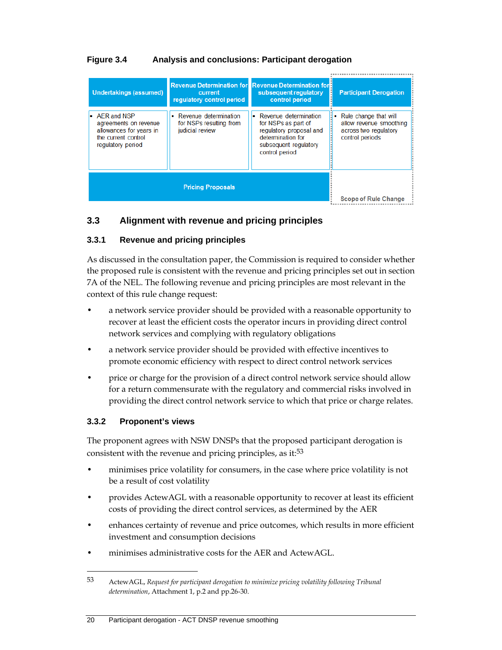## **Figure 3.4 Analysis and conclusions: Participant derogation**

| <b>Undertakings (assumed)</b>                                                                                              | current<br>requiatory control period                                  | <b>Revenue Determination for Revenue Determination for B</b><br>subsequent regulatory<br>control period                                   | <b>Participant Derogation</b>                                                                  |
|----------------------------------------------------------------------------------------------------------------------------|-----------------------------------------------------------------------|-------------------------------------------------------------------------------------------------------------------------------------------|------------------------------------------------------------------------------------------------|
| $\blacksquare$ AER and NSP<br>agreements on revenue<br>allowances for years in<br>the current control<br>regulatory period | • Revenue determination<br>for NSPs resulting from<br>judicial review | • Revenue determination<br>for NSPs as part of<br>regulatory proposal and<br>determination for<br>subsequent regulatory<br>control period | • Rule change that will<br>allow revenue smoothing<br>across two regulatory<br>control periods |
|                                                                                                                            | <b>Scope of Rule Change</b>                                           |                                                                                                                                           |                                                                                                |

## **3.3 Alignment with revenue and pricing principles**

## **3.3.1 Revenue and pricing principles**

As discussed in the consultation paper, the Commission is required to consider whether the proposed rule is consistent with the revenue and pricing principles set out in section 7A of the NEL. The following revenue and pricing principles are most relevant in the context of this rule change request:

- a network service provider should be provided with a reasonable opportunity to recover at least the efficient costs the operator incurs in providing direct control network services and complying with regulatory obligations
- a network service provider should be provided with effective incentives to promote economic efficiency with respect to direct control network services
- price or charge for the provision of a direct control network service should allow for a return commensurate with the regulatory and commercial risks involved in providing the direct control network service to which that price or charge relates.

#### **3.3.2 Proponent's views**

 $\overline{a}$ 

The proponent agrees with NSW DNSPs that the proposed participant derogation is consistent with the revenue and pricing principles, as it:<sup>53</sup>

- minimises price volatility for consumers, in the case where price volatility is not be a result of cost volatility
- provides ActewAGL with a reasonable opportunity to recover at least its efficient costs of providing the direct control services, as determined by the AER
- enhances certainty of revenue and price outcomes, which results in more efficient investment and consumption decisions
- minimises administrative costs for the AER and ActewAGL.

<sup>53</sup> ActewAGL, *Request for participant derogation to minimize pricing volatility following Tribunal determination*, Attachment 1, p.2 and pp.26-30.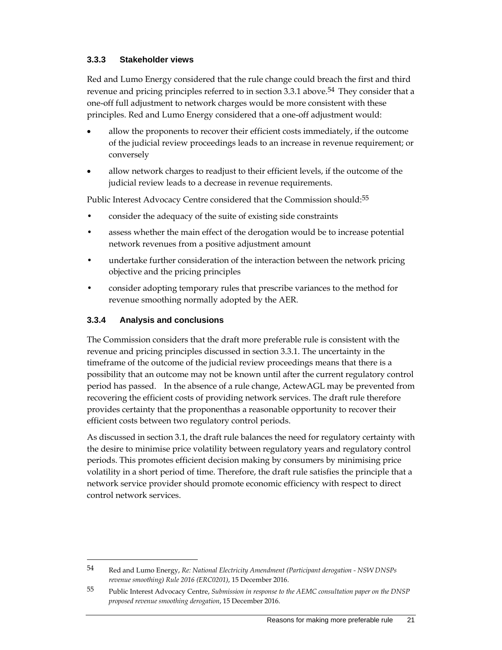### **3.3.3 Stakeholder views**

Red and Lumo Energy considered that the rule change could breach the first and third revenue and pricing principles referred to in section 3.3.1 above.<sup>54</sup> They consider that a one-off full adjustment to network charges would be more consistent with these principles. Red and Lumo Energy considered that a one-off adjustment would:

- allow the proponents to recover their efficient costs immediately, if the outcome of the judicial review proceedings leads to an increase in revenue requirement; or conversely
- allow network charges to readjust to their efficient levels, if the outcome of the judicial review leads to a decrease in revenue requirements.

Public Interest Advocacy Centre considered that the Commission should:<sup>55</sup>

- consider the adequacy of the suite of existing side constraints
- assess whether the main effect of the derogation would be to increase potential network revenues from a positive adjustment amount
- undertake further consideration of the interaction between the network pricing objective and the pricing principles
- consider adopting temporary rules that prescribe variances to the method for revenue smoothing normally adopted by the AER.

## **3.3.4 Analysis and conclusions**

 $\overline{a}$ 

The Commission considers that the draft more preferable rule is consistent with the revenue and pricing principles discussed in section 3.3.1. The uncertainty in the timeframe of the outcome of the judicial review proceedings means that there is a possibility that an outcome may not be known until after the current regulatory control period has passed. In the absence of a rule change, ActewAGL may be prevented from recovering the efficient costs of providing network services. The draft rule therefore provides certainty that the proponenthas a reasonable opportunity to recover their efficient costs between two regulatory control periods.

As discussed in section 3.1, the draft rule balances the need for regulatory certainty with the desire to minimise price volatility between regulatory years and regulatory control periods. This promotes efficient decision making by consumers by minimising price volatility in a short period of time. Therefore, the draft rule satisfies the principle that a network service provider should promote economic efficiency with respect to direct control network services.

<sup>54</sup> Red and Lumo Energy, *Re: National Electricity Amendment (Participant derogation - NSW DNSPs revenue smoothing) Rule 2016 (ERC0201)*, 15 December 2016.

<sup>55</sup> Public Interest Advocacy Centre, *Submission in response to the AEMC consultation paper on the DNSP proposed revenue smoothing derogation*, 15 December 2016.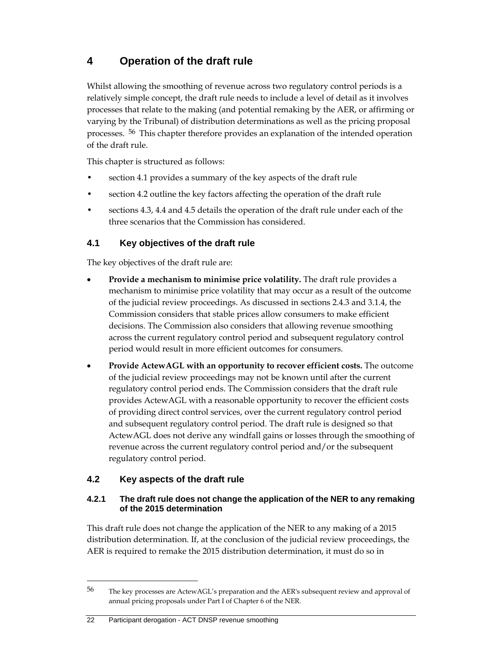# **4 Operation of the draft rule**

Whilst allowing the smoothing of revenue across two regulatory control periods is a relatively simple concept, the draft rule needs to include a level of detail as it involves processes that relate to the making (and potential remaking by the AER, or affirming or varying by the Tribunal) of distribution determinations as well as the pricing proposal processes. 56 This chapter therefore provides an explanation of the intended operation of the draft rule.

This chapter is structured as follows:

- section 4.1 provides a summary of the key aspects of the draft rule
- section 4.2 outline the key factors affecting the operation of the draft rule
- sections 4.3, 4.4 and 4.5 details the operation of the draft rule under each of the three scenarios that the Commission has considered.

## **4.1 Key objectives of the draft rule**

The key objectives of the draft rule are:

- **Provide a mechanism to minimise price volatility.** The draft rule provides a mechanism to minimise price volatility that may occur as a result of the outcome of the judicial review proceedings. As discussed in sections 2.4.3 and 3.1.4, the Commission considers that stable prices allow consumers to make efficient decisions. The Commission also considers that allowing revenue smoothing across the current regulatory control period and subsequent regulatory control period would result in more efficient outcomes for consumers.
- **Provide ActewAGL with an opportunity to recover efficient costs.** The outcome of the judicial review proceedings may not be known until after the current regulatory control period ends. The Commission considers that the draft rule provides ActewAGL with a reasonable opportunity to recover the efficient costs of providing direct control services, over the current regulatory control period and subsequent regulatory control period. The draft rule is designed so that ActewAGL does not derive any windfall gains or losses through the smoothing of revenue across the current regulatory control period and/or the subsequent regulatory control period.

## **4.2 Key aspects of the draft rule**

 $\overline{a}$ 

#### **4.2.1 The draft rule does not change the application of the NER to any remaking of the 2015 determination**

This draft rule does not change the application of the NER to any making of a 2015 distribution determination. If, at the conclusion of the judicial review proceedings, the AER is required to remake the 2015 distribution determination, it must do so in

#### 22 Participant derogation - ACT DNSP revenue smoothing

<sup>56</sup> The key processes are ActewAGL's preparation and the AER's subsequent review and approval of annual pricing proposals under Part I of Chapter 6 of the NER.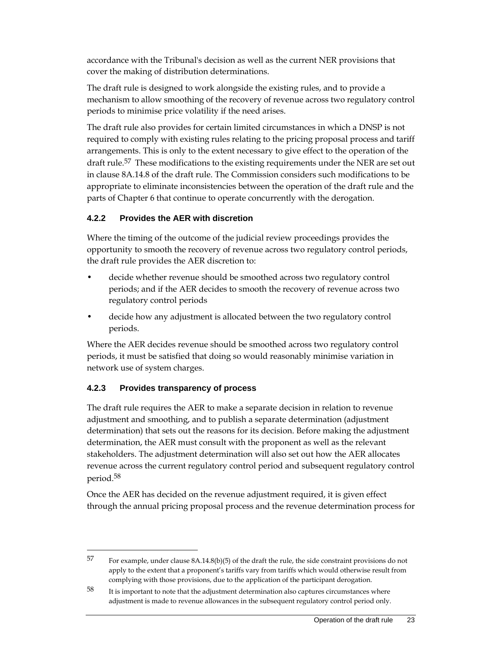accordance with the Tribunal's decision as well as the current NER provisions that cover the making of distribution determinations.

The draft rule is designed to work alongside the existing rules, and to provide a mechanism to allow smoothing of the recovery of revenue across two regulatory control periods to minimise price volatility if the need arises.

The draft rule also provides for certain limited circumstances in which a DNSP is not required to comply with existing rules relating to the pricing proposal process and tariff arrangements. This is only to the extent necessary to give effect to the operation of the draft rule.<sup>57</sup> These modifications to the existing requirements under the NER are set out in clause 8A.14.8 of the draft rule. The Commission considers such modifications to be appropriate to eliminate inconsistencies between the operation of the draft rule and the parts of Chapter 6 that continue to operate concurrently with the derogation.

## **4.2.2 Provides the AER with discretion**

Where the timing of the outcome of the judicial review proceedings provides the opportunity to smooth the recovery of revenue across two regulatory control periods, the draft rule provides the AER discretion to:

- decide whether revenue should be smoothed across two regulatory control periods; and if the AER decides to smooth the recovery of revenue across two regulatory control periods
- decide how any adjustment is allocated between the two regulatory control periods.

Where the AER decides revenue should be smoothed across two regulatory control periods, it must be satisfied that doing so would reasonably minimise variation in network use of system charges.

## **4.2.3 Provides transparency of process**

 $\overline{a}$ 

The draft rule requires the AER to make a separate decision in relation to revenue adjustment and smoothing, and to publish a separate determination (adjustment determination) that sets out the reasons for its decision. Before making the adjustment determination, the AER must consult with the proponent as well as the relevant stakeholders. The adjustment determination will also set out how the AER allocates revenue across the current regulatory control period and subsequent regulatory control period.58

Once the AER has decided on the revenue adjustment required, it is given effect through the annual pricing proposal process and the revenue determination process for

<sup>57</sup> For example, under clause 8A.14.8(b)(5) of the draft the rule, the side constraint provisions do not apply to the extent that a proponent's tariffs vary from tariffs which would otherwise result from complying with those provisions, due to the application of the participant derogation.

 $58$  It is important to note that the adjustment determination also captures circumstances where adjustment is made to revenue allowances in the subsequent regulatory control period only.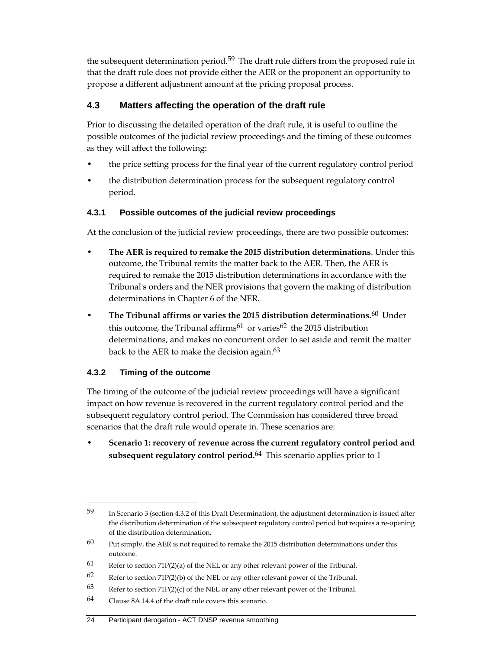the subsequent determination period.<sup>59</sup> The draft rule differs from the proposed rule in that the draft rule does not provide either the AER or the proponent an opportunity to propose a different adjustment amount at the pricing proposal process.

## **4.3 Matters affecting the operation of the draft rule**

Prior to discussing the detailed operation of the draft rule, it is useful to outline the possible outcomes of the judicial review proceedings and the timing of these outcomes as they will affect the following:

- the price setting process for the final year of the current regulatory control period
- the distribution determination process for the subsequent regulatory control period.

## **4.3.1 Possible outcomes of the judicial review proceedings**

At the conclusion of the judicial review proceedings, there are two possible outcomes:

- **The AER is required to remake the 2015 distribution determinations**. Under this outcome, the Tribunal remits the matter back to the AER. Then, the AER is required to remake the 2015 distribution determinations in accordance with the Tribunal's orders and the NER provisions that govern the making of distribution determinations in Chapter 6 of the NER.
- **The Tribunal affirms or varies the 2015 distribution determinations.**60 Under this outcome, the Tribunal affirms<sup>61</sup> or varies<sup>62</sup> the 2015 distribution determinations, and makes no concurrent order to set aside and remit the matter back to the AER to make the decision again.<sup>63</sup>

## **4.3.2 Timing of the outcome**

 $\overline{a}$ 

The timing of the outcome of the judicial review proceedings will have a significant impact on how revenue is recovered in the current regulatory control period and the subsequent regulatory control period. The Commission has considered three broad scenarios that the draft rule would operate in. These scenarios are:

• **Scenario 1: recovery of revenue across the current regulatory control period and subsequent regulatory control period.**64 This scenario applies prior to 1

<sup>59</sup> In Scenario 3 (section 4.3.2 of this Draft Determination), the adjustment determination is issued after the distribution determination of the subsequent regulatory control period but requires a re-opening of the distribution determination.

 $60$  Put simply, the AER is not required to remake the 2015 distribution determinations under this outcome.

<sup>61</sup> Refer to section 71P(2)(a) of the NEL or any other relevant power of the Tribunal.

<sup>62</sup> Refer to section 71P(2)(b) of the NEL or any other relevant power of the Tribunal.

<sup>63</sup> Refer to section 71P(2)(c) of the NEL or any other relevant power of the Tribunal.

 $64$  Clause 8A.14.4 of the draft rule covers this scenario.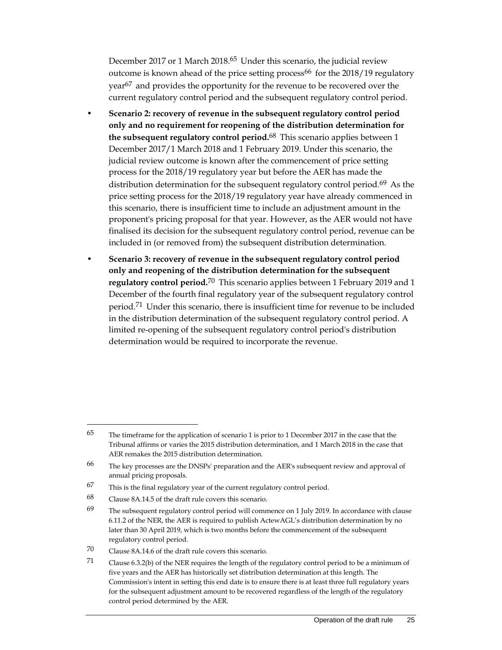December 2017 or 1 March 2018.<sup>65</sup> Under this scenario, the judicial review outcome is known ahead of the price setting process<sup>66</sup> for the  $2018/19$  regulatory year<sup>67</sup> and provides the opportunity for the revenue to be recovered over the current regulatory control period and the subsequent regulatory control period.

- **Scenario 2: recovery of revenue in the subsequent regulatory control period only and no requirement for reopening of the distribution determination for the subsequent regulatory control period.**68 This scenario applies between 1 December 2017/1 March 2018 and 1 February 2019. Under this scenario, the judicial review outcome is known after the commencement of price setting process for the 2018/19 regulatory year but before the AER has made the distribution determination for the subsequent regulatory control period.<sup>69</sup> As the price setting process for the 2018/19 regulatory year have already commenced in this scenario, there is insufficient time to include an adjustment amount in the proponent's pricing proposal for that year. However, as the AER would not have finalised its decision for the subsequent regulatory control period, revenue can be included in (or removed from) the subsequent distribution determination.
- **Scenario 3: recovery of revenue in the subsequent regulatory control period only and reopening of the distribution determination for the subsequent regulatory control period.**70 This scenario applies between 1 February 2019 and 1 December of the fourth final regulatory year of the subsequent regulatory control period.<sup>71</sup> Under this scenario, there is insufficient time for revenue to be included in the distribution determination of the subsequent regulatory control period. A limited re-opening of the subsequent regulatory control period's distribution determination would be required to incorporate the revenue.

<sup>65</sup> The timeframe for the application of scenario 1 is prior to 1 December 2017 in the case that the Tribunal affirms or varies the 2015 distribution determination, and 1 March 2018 in the case that AER remakes the 2015 distribution determination.

<sup>66</sup> The key processes are the DNSPs' preparation and the AER's subsequent review and approval of annual pricing proposals.

<sup>67</sup> This is the final regulatory year of the current regulatory control period.

<sup>68</sup> Clause 8A.14.5 of the draft rule covers this scenario.

<sup>&</sup>lt;sup>69</sup> The subsequent regulatory control period will commence on 1 July 2019. In accordance with clause 6.11.2 of the NER, the AER is required to publish ActewAGL's distribution determination by no later than 30 April 2019, which is two months before the commencement of the subsequent regulatory control period.

<sup>70</sup> Clause 8A.14.6 of the draft rule covers this scenario.

<sup>71</sup> Clause 6.3.2(b) of the NER requires the length of the regulatory control period to be a minimum of five years and the AER has historically set distribution determination at this length. The Commission's intent in setting this end date is to ensure there is at least three full regulatory years for the subsequent adjustment amount to be recovered regardless of the length of the regulatory control period determined by the AER.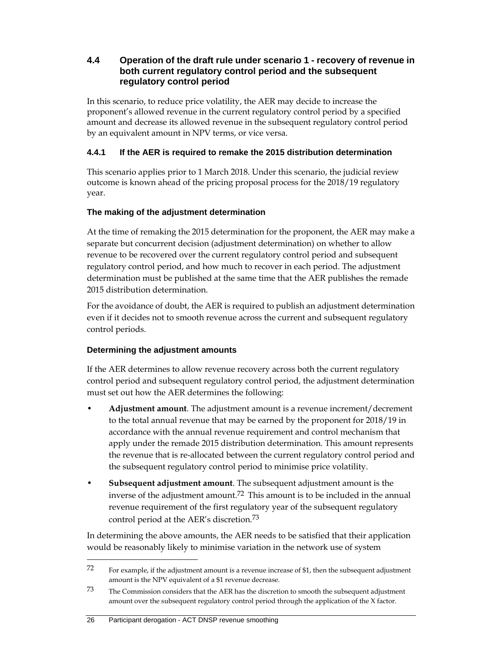## **4.4 Operation of the draft rule under scenario 1 - recovery of revenue in both current regulatory control period and the subsequent regulatory control period**

In this scenario, to reduce price volatility, the AER may decide to increase the proponent's allowed revenue in the current regulatory control period by a specified amount and decrease its allowed revenue in the subsequent regulatory control period by an equivalent amount in NPV terms, or vice versa.

## **4.4.1 If the AER is required to remake the 2015 distribution determination**

This scenario applies prior to 1 March 2018. Under this scenario, the judicial review outcome is known ahead of the pricing proposal process for the 2018/19 regulatory year.

## **The making of the adjustment determination**

At the time of remaking the 2015 determination for the proponent, the AER may make a separate but concurrent decision (adjustment determination) on whether to allow revenue to be recovered over the current regulatory control period and subsequent regulatory control period, and how much to recover in each period. The adjustment determination must be published at the same time that the AER publishes the remade 2015 distribution determination.

For the avoidance of doubt, the AER is required to publish an adjustment determination even if it decides not to smooth revenue across the current and subsequent regulatory control periods.

## **Determining the adjustment amounts**

If the AER determines to allow revenue recovery across both the current regulatory control period and subsequent regulatory control period, the adjustment determination must set out how the AER determines the following:

- **Adjustment amount**. The adjustment amount is a revenue increment/decrement to the total annual revenue that may be earned by the proponent for 2018/19 in accordance with the annual revenue requirement and control mechanism that apply under the remade 2015 distribution determination. This amount represents the revenue that is re-allocated between the current regulatory control period and the subsequent regulatory control period to minimise price volatility.
- **Subsequent adjustment amount**. The subsequent adjustment amount is the inverse of the adjustment amount.72 This amount is to be included in the annual revenue requirement of the first regulatory year of the subsequent regulatory control period at the AER's discretion.73

In determining the above amounts, the AER needs to be satisfied that their application would be reasonably likely to minimise variation in the network use of system

<sup>72</sup> For example, if the adjustment amount is a revenue increase of \$1, then the subsequent adjustment amount is the NPV equivalent of a \$1 revenue decrease.

<sup>73</sup> The Commission considers that the AER has the discretion to smooth the subsequent adjustment amount over the subsequent regulatory control period through the application of the X factor.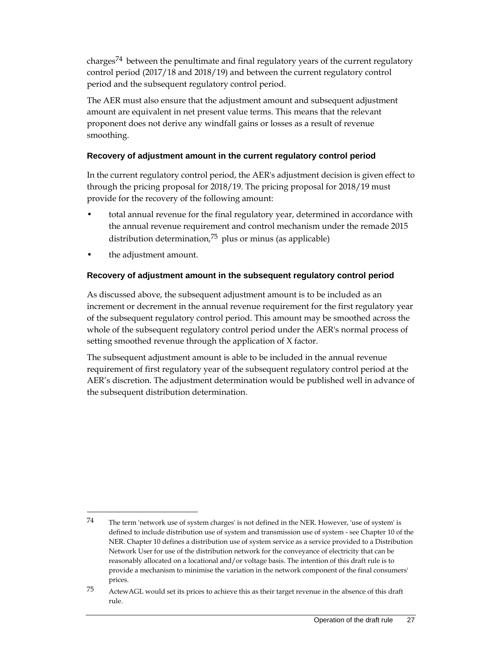charges<sup>74</sup> between the penultimate and final regulatory years of the current regulatory control period (2017/18 and 2018/19) and between the current regulatory control period and the subsequent regulatory control period.

The AER must also ensure that the adjustment amount and subsequent adjustment amount are equivalent in net present value terms. This means that the relevant proponent does not derive any windfall gains or losses as a result of revenue smoothing.

## **Recovery of adjustment amount in the current regulatory control period**

In the current regulatory control period, the AER's adjustment decision is given effect to through the pricing proposal for 2018/19. The pricing proposal for 2018/19 must provide for the recovery of the following amount:

- total annual revenue for the final regulatory year, determined in accordance with the annual revenue requirement and control mechanism under the remade 2015 distribution determination,75 plus or minus (as applicable)
- the adjustment amount.

 $\overline{a}$ 

## **Recovery of adjustment amount in the subsequent regulatory control period**

As discussed above, the subsequent adjustment amount is to be included as an increment or decrement in the annual revenue requirement for the first regulatory year of the subsequent regulatory control period. This amount may be smoothed across the whole of the subsequent regulatory control period under the AER's normal process of setting smoothed revenue through the application of X factor.

The subsequent adjustment amount is able to be included in the annual revenue requirement of first regulatory year of the subsequent regulatory control period at the AER's discretion. The adjustment determination would be published well in advance of the subsequent distribution determination.

<sup>74</sup> The term 'network use of system charges' is not defined in the NER. However, 'use of system' is defined to include distribution use of system and transmission use of system - see Chapter 10 of the NER. Chapter 10 defines a distribution use of system service as a service provided to a Distribution Network User for use of the distribution network for the conveyance of electricity that can be reasonably allocated on a locational and/or voltage basis. The intention of this draft rule is to provide a mechanism to minimise the variation in the network component of the final consumers' prices.

<sup>75</sup> ActewAGL would set its prices to achieve this as their target revenue in the absence of this draft rule.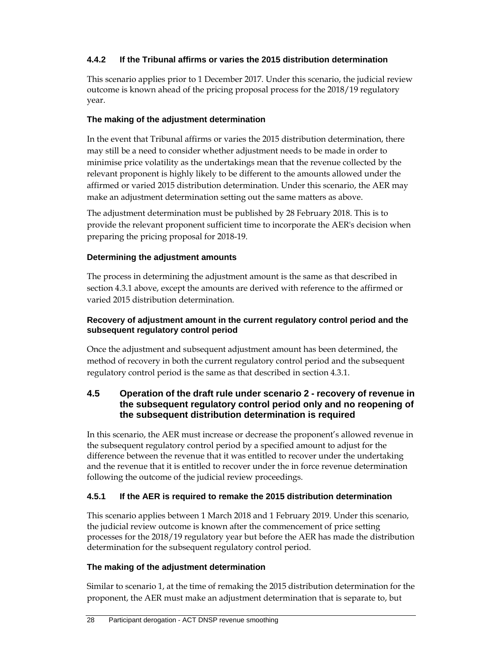## **4.4.2 If the Tribunal affirms or varies the 2015 distribution determination**

This scenario applies prior to 1 December 2017. Under this scenario, the judicial review outcome is known ahead of the pricing proposal process for the 2018/19 regulatory year.

## **The making of the adjustment determination**

In the event that Tribunal affirms or varies the 2015 distribution determination, there may still be a need to consider whether adjustment needs to be made in order to minimise price volatility as the undertakings mean that the revenue collected by the relevant proponent is highly likely to be different to the amounts allowed under the affirmed or varied 2015 distribution determination. Under this scenario, the AER may make an adjustment determination setting out the same matters as above.

The adjustment determination must be published by 28 February 2018. This is to provide the relevant proponent sufficient time to incorporate the AER's decision when preparing the pricing proposal for 2018-19.

## **Determining the adjustment amounts**

The process in determining the adjustment amount is the same as that described in section 4.3.1 above, except the amounts are derived with reference to the affirmed or varied 2015 distribution determination.

#### **Recovery of adjustment amount in the current regulatory control period and the subsequent regulatory control period**

Once the adjustment and subsequent adjustment amount has been determined, the method of recovery in both the current regulatory control period and the subsequent regulatory control period is the same as that described in section 4.3.1.

## **4.5 Operation of the draft rule under scenario 2 - recovery of revenue in the subsequent regulatory control period only and no reopening of the subsequent distribution determination is required**

In this scenario, the AER must increase or decrease the proponent's allowed revenue in the subsequent regulatory control period by a specified amount to adjust for the difference between the revenue that it was entitled to recover under the undertaking and the revenue that it is entitled to recover under the in force revenue determination following the outcome of the judicial review proceedings.

## **4.5.1 If the AER is required to remake the 2015 distribution determination**

This scenario applies between 1 March 2018 and 1 February 2019. Under this scenario, the judicial review outcome is known after the commencement of price setting processes for the 2018/19 regulatory year but before the AER has made the distribution determination for the subsequent regulatory control period.

#### **The making of the adjustment determination**

Similar to scenario 1, at the time of remaking the 2015 distribution determination for the proponent, the AER must make an adjustment determination that is separate to, but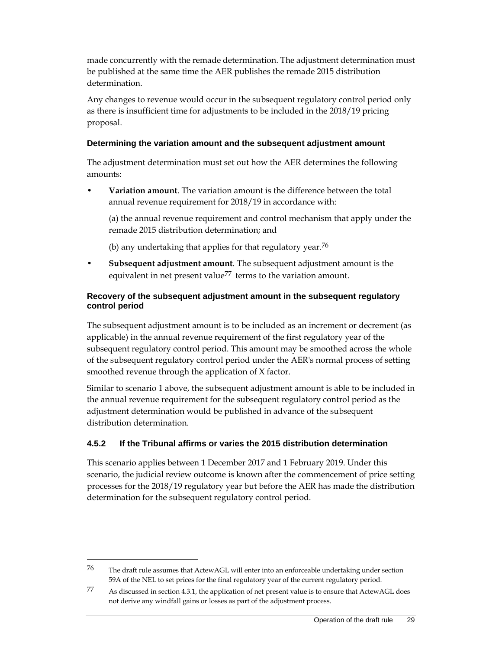made concurrently with the remade determination. The adjustment determination must be published at the same time the AER publishes the remade 2015 distribution determination.

Any changes to revenue would occur in the subsequent regulatory control period only as there is insufficient time for adjustments to be included in the 2018/19 pricing proposal.

#### **Determining the variation amount and the subsequent adjustment amount**

The adjustment determination must set out how the AER determines the following amounts:

• **Variation amount**. The variation amount is the difference between the total annual revenue requirement for 2018/19 in accordance with:

 (a) the annual revenue requirement and control mechanism that apply under the remade 2015 distribution determination; and

(b) any undertaking that applies for that regulatory year.<sup>76</sup>

• **Subsequent adjustment amount**. The subsequent adjustment amount is the equivalent in net present value<sup>77</sup> terms to the variation amount.

#### **Recovery of the subsequent adjustment amount in the subsequent regulatory control period**

The subsequent adjustment amount is to be included as an increment or decrement (as applicable) in the annual revenue requirement of the first regulatory year of the subsequent regulatory control period. This amount may be smoothed across the whole of the subsequent regulatory control period under the AER's normal process of setting smoothed revenue through the application of X factor.

Similar to scenario 1 above, the subsequent adjustment amount is able to be included in the annual revenue requirement for the subsequent regulatory control period as the adjustment determination would be published in advance of the subsequent distribution determination.

#### **4.5.2 If the Tribunal affirms or varies the 2015 distribution determination**

This scenario applies between 1 December 2017 and 1 February 2019. Under this scenario, the judicial review outcome is known after the commencement of price setting processes for the 2018/19 regulatory year but before the AER has made the distribution determination for the subsequent regulatory control period.

<sup>76</sup> The draft rule assumes that ActewAGL will enter into an enforceable undertaking under section 59A of the NEL to set prices for the final regulatory year of the current regulatory period.

<sup>77</sup> As discussed in section 4.3.1, the application of net present value is to ensure that ActewAGL does not derive any windfall gains or losses as part of the adjustment process.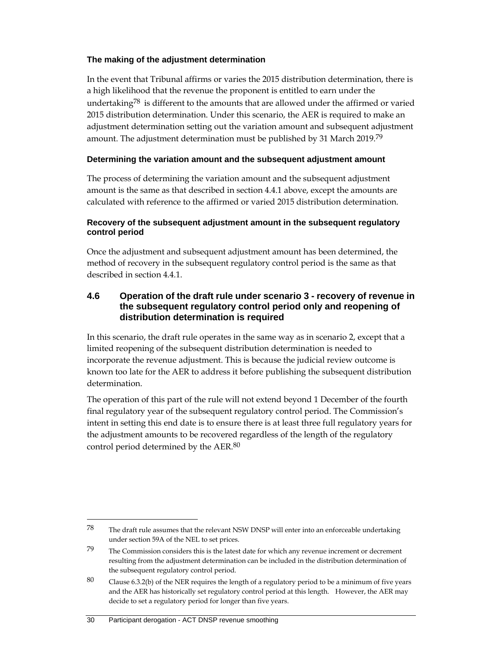#### **The making of the adjustment determination**

In the event that Tribunal affirms or varies the 2015 distribution determination, there is a high likelihood that the revenue the proponent is entitled to earn under the undertaking<sup>78</sup> is different to the amounts that are allowed under the affirmed or varied 2015 distribution determination. Under this scenario, the AER is required to make an adjustment determination setting out the variation amount and subsequent adjustment amount. The adjustment determination must be published by 31 March 2019.79

### **Determining the variation amount and the subsequent adjustment amount**

The process of determining the variation amount and the subsequent adjustment amount is the same as that described in section 4.4.1 above, except the amounts are calculated with reference to the affirmed or varied 2015 distribution determination.

#### **Recovery of the subsequent adjustment amount in the subsequent regulatory control period**

Once the adjustment and subsequent adjustment amount has been determined, the method of recovery in the subsequent regulatory control period is the same as that described in section 4.4.1.

## **4.6 Operation of the draft rule under scenario 3 - recovery of revenue in the subsequent regulatory control period only and reopening of distribution determination is required**

In this scenario, the draft rule operates in the same way as in scenario 2, except that a limited reopening of the subsequent distribution determination is needed to incorporate the revenue adjustment. This is because the judicial review outcome is known too late for the AER to address it before publishing the subsequent distribution determination.

The operation of this part of the rule will not extend beyond 1 December of the fourth final regulatory year of the subsequent regulatory control period. The Commission's intent in setting this end date is to ensure there is at least three full regulatory years for the adjustment amounts to be recovered regardless of the length of the regulatory control period determined by the AER.80

#### 30 Participant derogation - ACT DNSP revenue smoothing

 $78$  The draft rule assumes that the relevant NSW DNSP will enter into an enforceable undertaking under section 59A of the NEL to set prices.

<sup>79</sup> The Commission considers this is the latest date for which any revenue increment or decrement resulting from the adjustment determination can be included in the distribution determination of the subsequent regulatory control period.

<sup>80</sup> Clause 6.3.2(b) of the NER requires the length of a regulatory period to be a minimum of five years and the AER has historically set regulatory control period at this length. However, the AER may decide to set a regulatory period for longer than five years.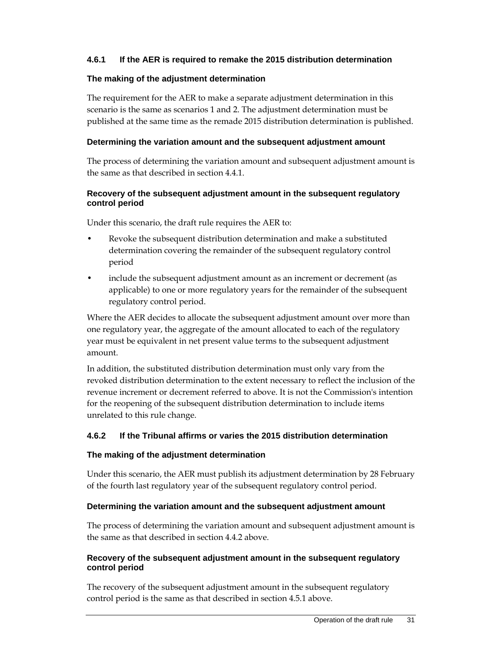#### **4.6.1 If the AER is required to remake the 2015 distribution determination**

#### **The making of the adjustment determination**

The requirement for the AER to make a separate adjustment determination in this scenario is the same as scenarios 1 and 2. The adjustment determination must be published at the same time as the remade 2015 distribution determination is published.

#### **Determining the variation amount and the subsequent adjustment amount**

The process of determining the variation amount and subsequent adjustment amount is the same as that described in section 4.4.1.

#### **Recovery of the subsequent adjustment amount in the subsequent regulatory control period**

Under this scenario, the draft rule requires the AER to:

- Revoke the subsequent distribution determination and make a substituted determination covering the remainder of the subsequent regulatory control period
- include the subsequent adjustment amount as an increment or decrement (as applicable) to one or more regulatory years for the remainder of the subsequent regulatory control period.

Where the AER decides to allocate the subsequent adjustment amount over more than one regulatory year, the aggregate of the amount allocated to each of the regulatory year must be equivalent in net present value terms to the subsequent adjustment amount.

In addition, the substituted distribution determination must only vary from the revoked distribution determination to the extent necessary to reflect the inclusion of the revenue increment or decrement referred to above. It is not the Commission's intention for the reopening of the subsequent distribution determination to include items unrelated to this rule change.

#### **4.6.2 If the Tribunal affirms or varies the 2015 distribution determination**

#### **The making of the adjustment determination**

Under this scenario, the AER must publish its adjustment determination by 28 February of the fourth last regulatory year of the subsequent regulatory control period.

#### **Determining the variation amount and the subsequent adjustment amount**

The process of determining the variation amount and subsequent adjustment amount is the same as that described in section 4.4.2 above.

#### **Recovery of the subsequent adjustment amount in the subsequent regulatory control period**

The recovery of the subsequent adjustment amount in the subsequent regulatory control period is the same as that described in section 4.5.1 above.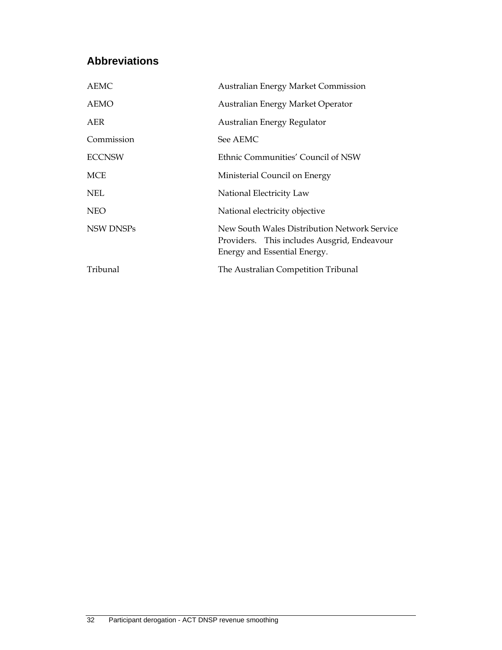# **Abbreviations**

| <b>AEMC</b>   | <b>Australian Energy Market Commission</b>                                                                                  |
|---------------|-----------------------------------------------------------------------------------------------------------------------------|
| AEMO          | Australian Energy Market Operator                                                                                           |
| AER           | Australian Energy Regulator                                                                                                 |
| Commission    | See AEMC                                                                                                                    |
| <b>ECCNSW</b> | Ethnic Communities' Council of NSW                                                                                          |
| <b>MCE</b>    | Ministerial Council on Energy                                                                                               |
| <b>NEL</b>    | National Electricity Law                                                                                                    |
| <b>NEO</b>    | National electricity objective                                                                                              |
| NSW DNSPs     | New South Wales Distribution Network Service<br>Providers. This includes Ausgrid, Endeavour<br>Energy and Essential Energy. |
| Tribunal      | The Australian Competition Tribunal                                                                                         |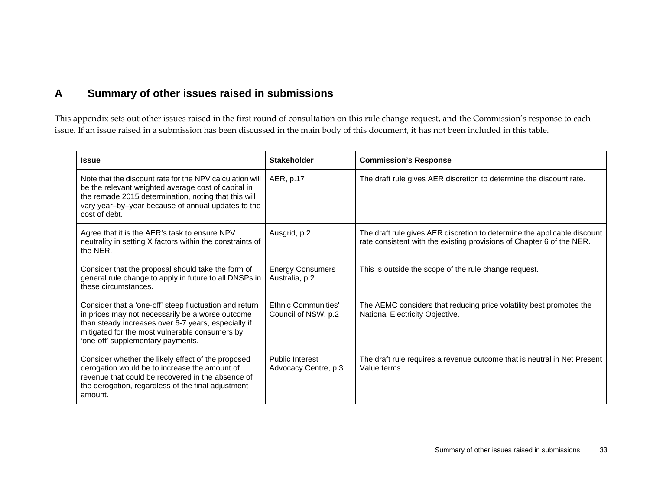# **A Summary of other issues raised in submissions**

This appendix sets out other issues raised in the first round of consultation on this rule change request, and the Commission's response to each issue. If an issue raised in a submission has been discussed in the main body of this document, it has not been included in this table.

| <b>Issue</b>                                                                                                                                                                                                                                             | <b>Stakeholder</b>                                | <b>Commission's Response</b>                                                                                                                      |
|----------------------------------------------------------------------------------------------------------------------------------------------------------------------------------------------------------------------------------------------------------|---------------------------------------------------|---------------------------------------------------------------------------------------------------------------------------------------------------|
| Note that the discount rate for the NPV calculation will<br>be the relevant weighted average cost of capital in<br>the remade 2015 determination, noting that this will<br>vary year-by-year because of annual updates to the<br>cost of debt.           | AER, p.17                                         | The draft rule gives AER discretion to determine the discount rate.                                                                               |
| Agree that it is the AER's task to ensure NPV<br>neutrality in setting X factors within the constraints of<br>the NER.                                                                                                                                   | Ausgrid, p.2                                      | The draft rule gives AER discretion to determine the applicable discount<br>rate consistent with the existing provisions of Chapter 6 of the NER. |
| Consider that the proposal should take the form of<br>general rule change to apply in future to all DNSPs in<br>these circumstances.                                                                                                                     | <b>Energy Consumers</b><br>Australia, p.2         | This is outside the scope of the rule change request.                                                                                             |
| Consider that a 'one-off' steep fluctuation and return<br>in prices may not necessarily be a worse outcome<br>than steady increases over 6-7 years, especially if<br>mitigated for the most vulnerable consumers by<br>'one-off' supplementary payments. | <b>Ethnic Communities'</b><br>Council of NSW, p.2 | The AEMC considers that reducing price volatility best promotes the<br>National Electricity Objective.                                            |
| Consider whether the likely effect of the proposed<br>derogation would be to increase the amount of<br>revenue that could be recovered in the absence of<br>the derogation, regardless of the final adjustment<br>amount.                                | <b>Public Interest</b><br>Advocacy Centre, p.3    | The draft rule requires a revenue outcome that is neutral in Net Present<br>Value terms.                                                          |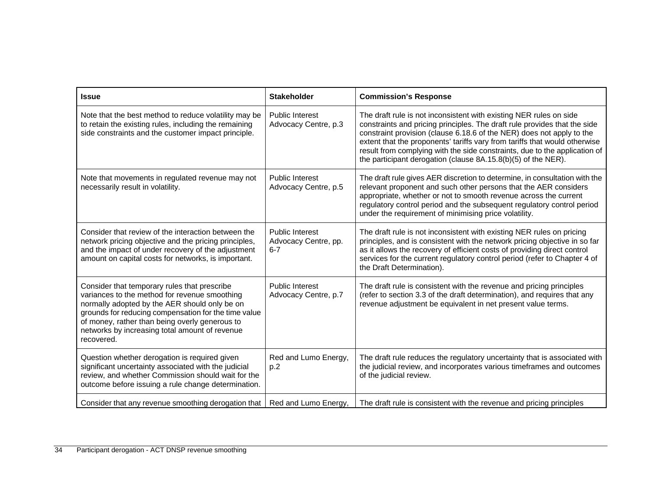| <b>Issue</b>                                                                                                                                                                                                                                                                                                             | <b>Stakeholder</b>                                        | <b>Commission's Response</b>                                                                                                                                                                                                                                                                                                                                                                                                                          |
|--------------------------------------------------------------------------------------------------------------------------------------------------------------------------------------------------------------------------------------------------------------------------------------------------------------------------|-----------------------------------------------------------|-------------------------------------------------------------------------------------------------------------------------------------------------------------------------------------------------------------------------------------------------------------------------------------------------------------------------------------------------------------------------------------------------------------------------------------------------------|
| Note that the best method to reduce volatility may be<br>to retain the existing rules, including the remaining<br>side constraints and the customer impact principle.                                                                                                                                                    | <b>Public Interest</b><br>Advocacy Centre, p.3            | The draft rule is not inconsistent with existing NER rules on side<br>constraints and pricing principles. The draft rule provides that the side<br>constraint provision (clause 6.18.6 of the NER) does not apply to the<br>extent that the proponents' tariffs vary from tariffs that would otherwise<br>result from complying with the side constraints, due to the application of<br>the participant derogation (clause 8A.15.8(b)(5) of the NER). |
| Note that movements in regulated revenue may not<br>necessarily result in volatility.                                                                                                                                                                                                                                    | <b>Public Interest</b><br>Advocacy Centre, p.5            | The draft rule gives AER discretion to determine, in consultation with the<br>relevant proponent and such other persons that the AER considers<br>appropriate, whether or not to smooth revenue across the current<br>regulatory control period and the subsequent regulatory control period<br>under the requirement of minimising price volatility.                                                                                                 |
| Consider that review of the interaction between the<br>network pricing objective and the pricing principles,<br>and the impact of under recovery of the adjustment<br>amount on capital costs for networks, is important.                                                                                                | <b>Public Interest</b><br>Advocacy Centre, pp.<br>$6 - 7$ | The draft rule is not inconsistent with existing NER rules on pricing<br>principles, and is consistent with the network pricing objective in so far<br>as it allows the recovery of efficient costs of providing direct control<br>services for the current regulatory control period (refer to Chapter 4 of<br>the Draft Determination).                                                                                                             |
| Consider that temporary rules that prescribe<br>variances to the method for revenue smoothing<br>normally adopted by the AER should only be on<br>grounds for reducing compensation for the time value<br>of money, rather than being overly generous to<br>networks by increasing total amount of revenue<br>recovered. | <b>Public Interest</b><br>Advocacy Centre, p.7            | The draft rule is consistent with the revenue and pricing principles<br>(refer to section 3.3 of the draft determination), and requires that any<br>revenue adjustment be equivalent in net present value terms.                                                                                                                                                                                                                                      |
| Question whether derogation is required given<br>significant uncertainty associated with the judicial<br>review, and whether Commission should wait for the<br>outcome before issuing a rule change determination.                                                                                                       | Red and Lumo Energy,<br>p.2                               | The draft rule reduces the regulatory uncertainty that is associated with<br>the judicial review, and incorporates various timeframes and outcomes<br>of the judicial review.                                                                                                                                                                                                                                                                         |
| Consider that any revenue smoothing derogation that                                                                                                                                                                                                                                                                      | Red and Lumo Energy,                                      | The draft rule is consistent with the revenue and pricing principles                                                                                                                                                                                                                                                                                                                                                                                  |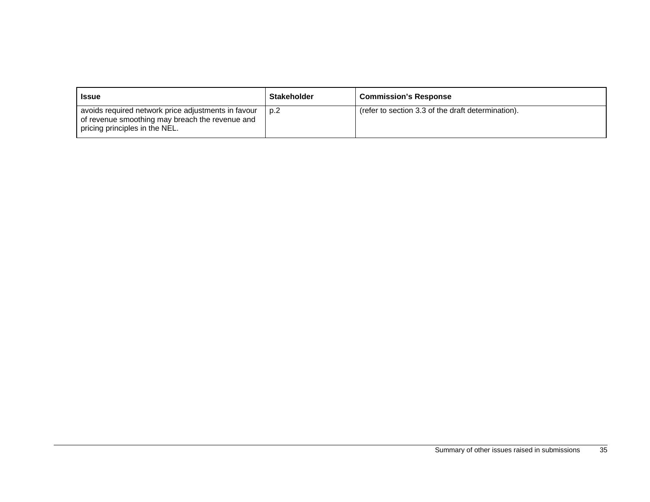| <b>Issue</b>                                                                                                                             | <b>Stakeholder</b> | <b>Commission's Response</b>                       |
|------------------------------------------------------------------------------------------------------------------------------------------|--------------------|----------------------------------------------------|
| avoids required network price adjustments in favour<br>of revenue smoothing may breach the revenue and<br>pricing principles in the NEL. | p.2                | (refer to section 3.3 of the draft determination). |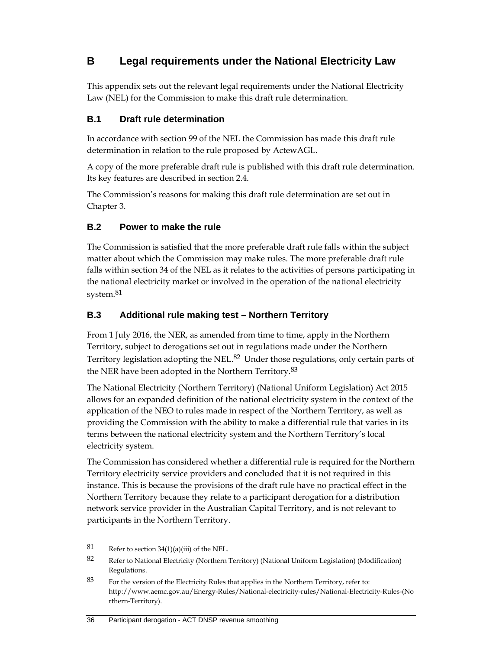# **B Legal requirements under the National Electricity Law**

This appendix sets out the relevant legal requirements under the National Electricity Law (NEL) for the Commission to make this draft rule determination.

## **B.1 Draft rule determination**

In accordance with section 99 of the NEL the Commission has made this draft rule determination in relation to the rule proposed by ActewAGL.

A copy of the more preferable draft rule is published with this draft rule determination. Its key features are described in section 2.4.

The Commission's reasons for making this draft rule determination are set out in Chapter 3.

## **B.2 Power to make the rule**

The Commission is satisfied that the more preferable draft rule falls within the subject matter about which the Commission may make rules. The more preferable draft rule falls within section 34 of the NEL as it relates to the activities of persons participating in the national electricity market or involved in the operation of the national electricity system.<sup>81</sup>

## **B.3 Additional rule making test – Northern Territory**

From 1 July 2016, the NER, as amended from time to time, apply in the Northern Territory, subject to derogations set out in regulations made under the Northern Territory legislation adopting the NEL.<sup>82</sup> Under those regulations, only certain parts of the NER have been adopted in the Northern Territory.83

The National Electricity (Northern Territory) (National Uniform Legislation) Act 2015 allows for an expanded definition of the national electricity system in the context of the application of the NEO to rules made in respect of the Northern Territory, as well as providing the Commission with the ability to make a differential rule that varies in its terms between the national electricity system and the Northern Territory's local electricity system.

The Commission has considered whether a differential rule is required for the Northern Territory electricity service providers and concluded that it is not required in this instance. This is because the provisions of the draft rule have no practical effect in the Northern Territory because they relate to a participant derogation for a distribution network service provider in the Australian Capital Territory, and is not relevant to participants in the Northern Territory.

 $\overline{a}$ 

#### 36 Participant derogation - ACT DNSP revenue smoothing

<sup>81</sup> Refer to section  $34(1)(a)(iii)$  of the NEL.

<sup>82</sup> Refer to National Electricity (Northern Territory) (National Uniform Legislation) (Modification) Regulations.

<sup>83</sup> For the version of the Electricity Rules that applies in the Northern Territory, refer to: http://www.aemc.gov.au/Energy-Rules/National-electricity-rules/National-Electricity-Rules-(No rthern-Territory).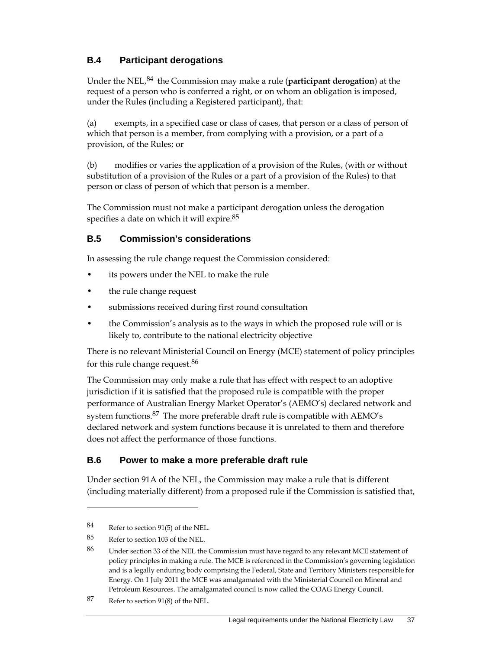## **B.4 Participant derogations**

Under the NEL,84 the Commission may make a rule (**participant derogation**) at the request of a person who is conferred a right, or on whom an obligation is imposed, under the Rules (including a Registered participant), that:

(a) exempts, in a specified case or class of cases, that person or a class of person of which that person is a member, from complying with a provision, or a part of a provision, of the Rules; or

(b) modifies or varies the application of a provision of the Rules, (with or without substitution of a provision of the Rules or a part of a provision of the Rules) to that person or class of person of which that person is a member.

The Commission must not make a participant derogation unless the derogation specifies a date on which it will expire.<sup>85</sup>

## **B.5 Commission's considerations**

In assessing the rule change request the Commission considered:

- its powers under the NEL to make the rule
- the rule change request
- submissions received during first round consultation
- the Commission's analysis as to the ways in which the proposed rule will or is likely to, contribute to the national electricity objective

There is no relevant Ministerial Council on Energy (MCE) statement of policy principles for this rule change request.<sup>86</sup>

The Commission may only make a rule that has effect with respect to an adoptive jurisdiction if it is satisfied that the proposed rule is compatible with the proper performance of Australian Energy Market Operator's (AEMO's) declared network and system functions.87 The more preferable draft rule is compatible with AEMO's declared network and system functions because it is unrelated to them and therefore does not affect the performance of those functions.

## **B.6 Power to make a more preferable draft rule**

Under section 91A of the NEL, the Commission may make a rule that is different (including materially different) from a proposed rule if the Commission is satisfied that,

<sup>84</sup> Refer to section 91(5) of the NEL.

<sup>85</sup> Refer to section 103 of the NEL.

<sup>86</sup> Under section 33 of the NEL the Commission must have regard to any relevant MCE statement of policy principles in making a rule. The MCE is referenced in the Commission's governing legislation and is a legally enduring body comprising the Federal, State and Territory Ministers responsible for Energy. On 1 July 2011 the MCE was amalgamated with the Ministerial Council on Mineral and Petroleum Resources. The amalgamated council is now called the COAG Energy Council.

<sup>87</sup> Refer to section 91(8) of the NEL.